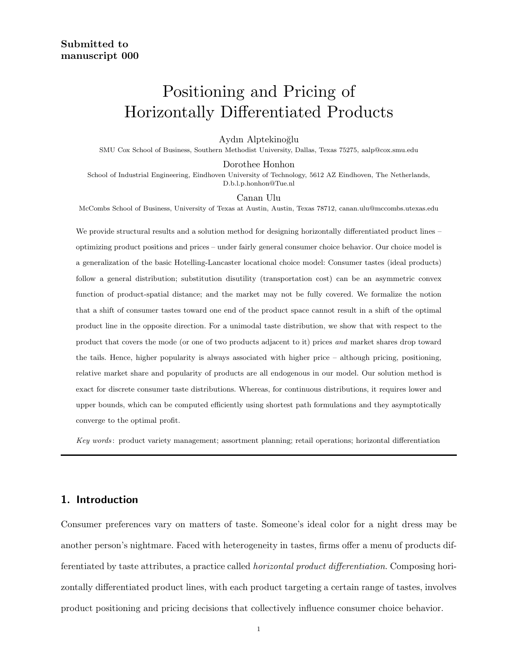# Positioning and Pricing of Horizontally Differentiated Products

## Aydın Alptekinoğlu

SMU Cox School of Business, Southern Methodist University, Dallas, Texas 75275, aalp@cox.smu.edu

Dorothee Honhon

School of Industrial Engineering, Eindhoven University of Technology, 5612 AZ Eindhoven, The Netherlands, D.b.l.p.honhon@Tue.nl

#### Canan Ulu

McCombs School of Business, University of Texas at Austin, Austin, Texas 78712, canan.ulu@mccombs.utexas.edu

We provide structural results and a solution method for designing horizontally differentiated product lines – optimizing product positions and prices – under fairly general consumer choice behavior. Our choice model is a generalization of the basic Hotelling-Lancaster locational choice model: Consumer tastes (ideal products) follow a general distribution; substitution disutility (transportation cost) can be an asymmetric convex function of product-spatial distance; and the market may not be fully covered. We formalize the notion that a shift of consumer tastes toward one end of the product space cannot result in a shift of the optimal product line in the opposite direction. For a unimodal taste distribution, we show that with respect to the product that covers the mode (or one of two products adjacent to it) prices and market shares drop toward the tails. Hence, higher popularity is always associated with higher price – although pricing, positioning, relative market share and popularity of products are all endogenous in our model. Our solution method is exact for discrete consumer taste distributions. Whereas, for continuous distributions, it requires lower and upper bounds, which can be computed efficiently using shortest path formulations and they asymptotically converge to the optimal profit.

Key words: product variety management; assortment planning; retail operations; horizontal differentiation

## 1. Introduction

Consumer preferences vary on matters of taste. Someone's ideal color for a night dress may be another person's nightmare. Faced with heterogeneity in tastes, firms offer a menu of products differentiated by taste attributes, a practice called horizontal product differentiation. Composing horizontally differentiated product lines, with each product targeting a certain range of tastes, involves product positioning and pricing decisions that collectively influence consumer choice behavior.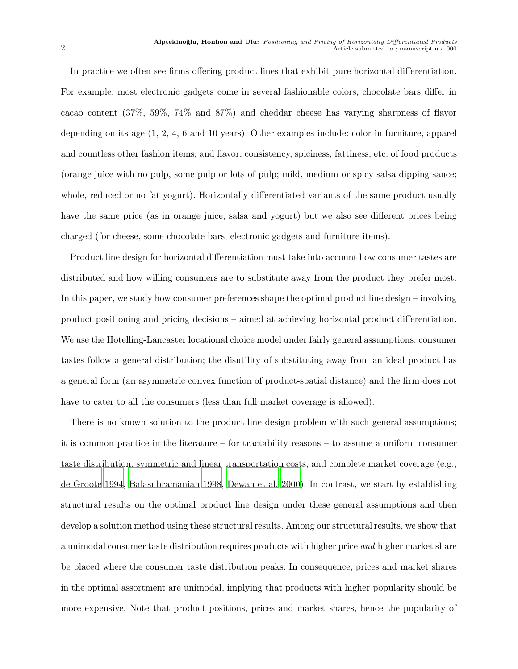In practice we often see firms offering product lines that exhibit pure horizontal differentiation. For example, most electronic gadgets come in several fashionable colors, chocolate bars differ in cacao content (37%, 59%, 74% and 87%) and cheddar cheese has varying sharpness of flavor depending on its age (1, 2, 4, 6 and 10 years). Other examples include: color in furniture, apparel and countless other fashion items; and flavor, consistency, spiciness, fattiness, etc. of food products (orange juice with no pulp, some pulp or lots of pulp; mild, medium or spicy salsa dipping sauce; whole, reduced or no fat yogurt). Horizontally differentiated variants of the same product usually have the same price (as in orange juice, salsa and yogurt) but we also see different prices being charged (for cheese, some chocolate bars, electronic gadgets and furniture items).

Product line design for horizontal differentiation must take into account how consumer tastes are distributed and how willing consumers are to substitute away from the product they prefer most. In this paper, we study how consumer preferences shape the optimal product line design – involving product positioning and pricing decisions – aimed at achieving horizontal product differentiation. We use the Hotelling-Lancaster locational choice model under fairly general assumptions: consumer tastes follow a general distribution; the disutility of substituting away from an ideal product has a general form (an asymmetric convex function of product-spatial distance) and the firm does not have to cater to all the consumers (less than full market coverage is allowed).

There is no known solution to the product line design problem with such general assumptions; it is common practice in the literature – for tractability reasons – to assume a uniform consumer taste distribution, symmetric and linear transportation costs, and complete market coverage (e.g., [de Groote 1994,](#page-26-0) [Balasubramanian 1998,](#page-26-1) [Dewan et al. 2000\)](#page-26-2). In contrast, we start by establishing structural results on the optimal product line design under these general assumptions and then develop a solution method using these structural results. Among our structural results, we show that a unimodal consumer taste distribution requires products with higher price and higher market share be placed where the consumer taste distribution peaks. In consequence, prices and market shares in the optimal assortment are unimodal, implying that products with higher popularity should be more expensive. Note that product positions, prices and market shares, hence the popularity of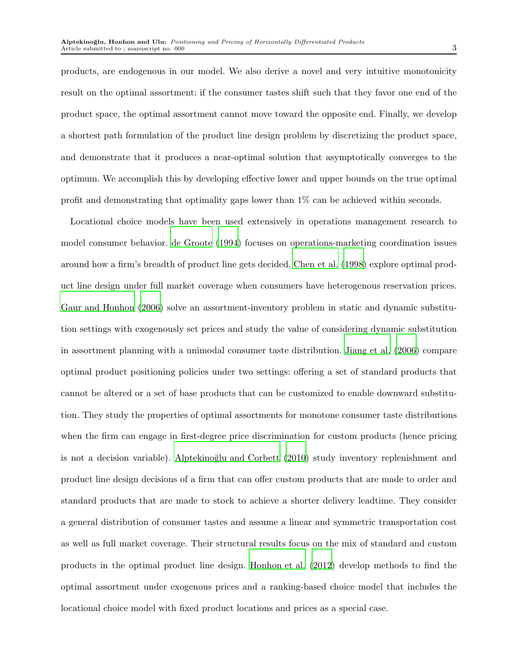products, are endogenous in our model. We also derive a novel and very intuitive monotonicity result on the optimal assortment: if the consumer tastes shift such that they favor one end of the product space, the optimal assortment cannot move toward the opposite end. Finally, we develop a shortest path formulation of the product line design problem by discretizing the product space, and demonstrate that it produces a near-optimal solution that asymptotically converges to the optimum. We accomplish this by developing effective lower and upper bounds on the true optimal profit and demonstrating that optimality gaps lower than 1% can be achieved within seconds.

Locational choice models have been used extensively in operations management research to model consumer behavior. [de Groote \(1994](#page-26-0)) focuses on operations-marketing coordination issues around how a firm's breadth of product line gets decided. [Chen](#page-26-3) et al. [\(1998\)](#page-26-3) explore optimal product line design under full market coverage when consumers have heterogenous reservation prices. [Gaur and Honhon \(2006](#page-26-4)) solve an assortment-inventory problem in static and dynamic substitution settings with exogenously set prices and study the value of considering dynamic substitution in assortment planning with a unimodal consumer taste distribution. [Jiang et al. \(2006\)](#page-27-0) compare optimal product positioning policies under two settings: offering a set of standard products that cannot be altered or a set of base products that can be customized to enable downward substitution. They study the properties of optimal assortments for monotone consumer taste distributions when the firm can engage in first-degree price discrimination for custom products (hence pricing is not a decision variable). Alptekinoğlu and Corbett (2010) study inventory replenishment and product line design decisions of a firm that can offer custom products that are made to order and standard products that are made to stock to achieve a shorter delivery leadtime. They consider a general distribution of consumer tastes and assume a linear and symmetric transportation cost as well as full market coverage. Their structural results focus on the mix of standard and custom products in the optimal product line design. [Honhon et al. \(2012](#page-27-1)) develop methods to find the optimal assortment under exogenous prices and a ranking-based choice model that includes the locational choice model with fixed product locations and prices as a special case.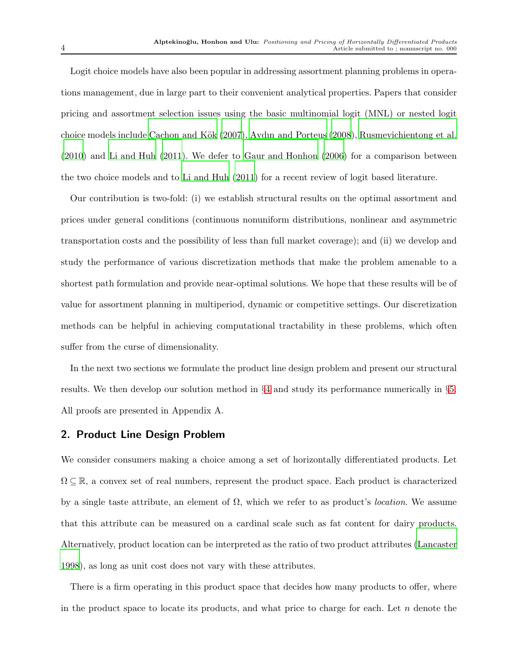Logit choice models have also been popular in addressing assortment planning problems in operations management, due in large part to their convenient analytical properties. Papers that consider pricing and assortment selection issues using the basic multinomial logit (MNL) or nested logit choice models include Cachon and Kök (2007), [Aydın and Porteus \(2008](#page-26-7)), [Rusmevichientong et al.](#page-27-2) [\(2010](#page-27-2)) and [Li and Huh \(2011](#page-27-3)). We defer to [Gaur and Honhon \(2006](#page-26-4)) for a comparison between the two choice models and to [Li and Huh \(2011\)](#page-27-3) for a recent review of logit based literature.

Our contribution is two-fold: (i) we establish structural results on the optimal assortment and prices under general conditions (continuous nonuniform distributions, nonlinear and asymmetric transportation costs and the possibility of less than full market coverage); and (ii) we develop and study the performance of various discretization methods that make the problem amenable to a shortest path formulation and provide near-optimal solutions. We hope that these results will be of value for assortment planning in multiperiod, dynamic or competitive settings. Our discretization methods can be helpful in achieving computational tractability in these problems, which often suffer from the curse of dimensionality.

In the next two sections we formulate the product line design problem and present our structural results. We then develop our solution method in §[4](#page-12-0) and study its performance numerically in §[5.](#page-20-0) All proofs are presented in Appendix A.

## 2. Product Line Design Problem

We consider consumers making a choice among a set of horizontally differentiated products. Let  $\Omega \subseteq \mathbb{R}$ , a convex set of real numbers, represent the product space. Each product is characterized by a single taste attribute, an element of  $\Omega$ , which we refer to as product's *location*. We assume that this attribute can be measured on a cardinal scale such as fat content for dairy products. Alternatively, product location can be interpreted as the ratio of two product attributes [\(Lancaster](#page-27-4) [1998\)](#page-27-4), as long as unit cost does not vary with these attributes.

There is a firm operating in this product space that decides how many products to offer, where in the product space to locate its products, and what price to charge for each. Let  $n$  denote the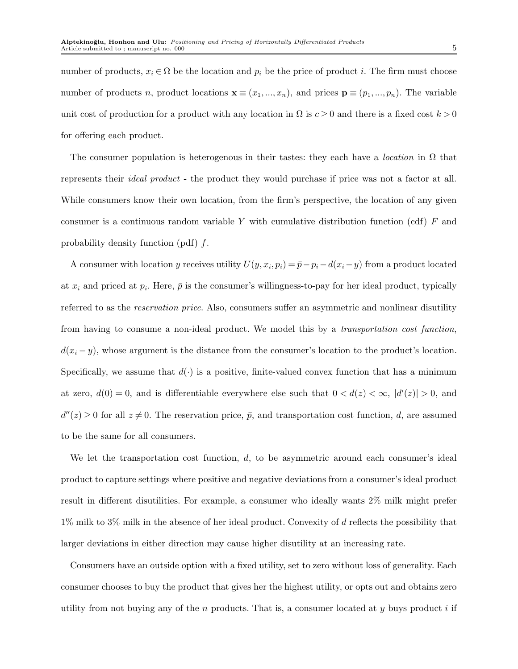number of products,  $x_i \in \Omega$  be the location and  $p_i$  be the price of product i. The firm must choose number of products n, product locations  $\mathbf{x} \equiv (x_1, ..., x_n)$ , and prices  $\mathbf{p} \equiv (p_1, ..., p_n)$ . The variable unit cost of production for a product with any location in  $\Omega$  is  $c \geq 0$  and there is a fixed cost  $k > 0$ for offering each product.

The consumer population is heterogenous in their tastes: they each have a *location* in  $\Omega$  that represents their ideal product - the product they would purchase if price was not a factor at all. While consumers know their own location, from the firm's perspective, the location of any given consumer is a continuous random variable Y with cumulative distribution function (cdf)  $F$  and probability density function (pdf) f.

A consumer with location y receives utility  $U(y, x_i, p_i) = \bar{p} - p_i - d(x_i - y)$  from a product located at  $x_i$  and priced at  $p_i$ . Here,  $\bar{p}$  is the consumer's willingness-to-pay for her ideal product, typically referred to as the reservation price. Also, consumers suffer an asymmetric and nonlinear disutility from having to consume a non-ideal product. We model this by a transportation cost function,  $d(x_i - y)$ , whose argument is the distance from the consumer's location to the product's location. Specifically, we assume that  $d(\cdot)$  is a positive, finite-valued convex function that has a minimum at zero,  $d(0) = 0$ , and is differentiable everywhere else such that  $0 < d(z) < \infty$ ,  $|d'(z)| > 0$ , and  $d''(z) \geq 0$  for all  $z \neq 0$ . The reservation price,  $\bar{p}$ , and transportation cost function, d, are assumed to be the same for all consumers.

We let the transportation cost function,  $d$ , to be asymmetric around each consumer's ideal product to capture settings where positive and negative deviations from a consumer's ideal product result in different disutilities. For example, a consumer who ideally wants 2% milk might prefer  $1\%$  milk to  $3\%$  milk in the absence of her ideal product. Convexity of d reflects the possibility that larger deviations in either direction may cause higher disutility at an increasing rate.

Consumers have an outside option with a fixed utility, set to zero without loss of generality. Each consumer chooses to buy the product that gives her the highest utility, or opts out and obtains zero utility from not buying any of the n products. That is, a consumer located at y buys product i if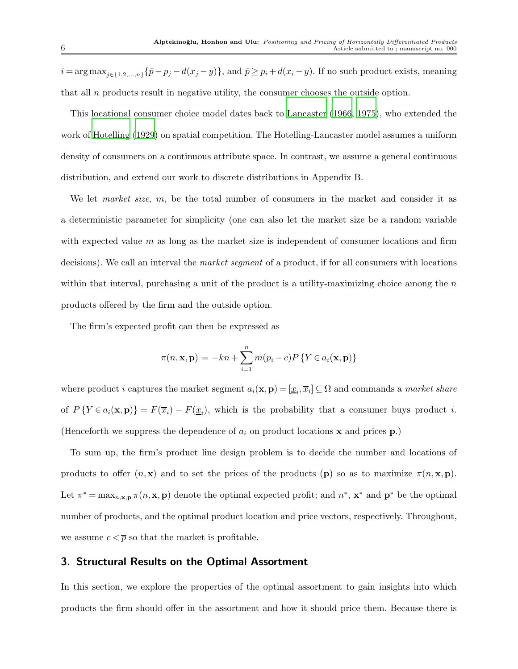$i = \arg \max_{j \in \{1,2,...,n\}} {\{\bar{p} - p_j - d(x_j - y)\}}$ , and  $\bar{p} \ge p_i + d(x_i - y)$ . If no such product exists, meaning that all  $n$  products result in negative utility, the consumer chooses the outside option.

This locational consumer choice model dates back to [Lancaster \(1966,](#page-27-5) [1975](#page-27-6)), who extended the work of [Hotelling \(1929\)](#page-27-7) on spatial competition. The Hotelling-Lancaster model assumes a uniform density of consumers on a continuous attribute space. In contrast, we assume a general continuous distribution, and extend our work to discrete distributions in Appendix B.

We let *market size*,  $m$ , be the total number of consumers in the market and consider it as a deterministic parameter for simplicity (one can also let the market size be a random variable with expected value  $m$  as long as the market size is independent of consumer locations and firm decisions). We call an interval the market segment of a product, if for all consumers with locations within that interval, purchasing a unit of the product is a utility-maximizing choice among the  $n$ products offered by the firm and the outside option.

The firm's expected profit can then be expressed as

$$
\pi(n, \mathbf{x}, \mathbf{p}) = -kn + \sum_{i=1}^{n} m(p_i - c) P\{Y \in a_i(\mathbf{x}, \mathbf{p})\}
$$

where product i captures the market segment  $a_i(\mathbf{x}, \mathbf{p}) = [\underline{x}_i, \overline{x}_i] \subseteq \Omega$  and commands a *market share* of  $P(Y \in a_i(\mathbf{x}, \mathbf{p}) = F(\overline{x}_i) - F(\underline{x}_i)$ , which is the probability that a consumer buys product *i*. (Henceforth we suppress the dependence of  $a_i$  on product locations **x** and prices  $\mathbf{p}$ .)

To sum up, the firm's product line design problem is to decide the number and locations of products to offer  $(n, x)$  and to set the prices of the products  $(p)$  so as to maximize  $\pi(n, x, p)$ . Let  $\pi^* = \max_{n,\mathbf{x},\mathbf{p}} \pi(n,\mathbf{x},\mathbf{p})$  denote the optimal expected profit; and  $n^*,\mathbf{x}^*$  and  $\mathbf{p}^*$  be the optimal number of products, and the optimal product location and price vectors, respectively. Throughout, we assume  $c < \overline{p}$  so that the market is profitable.

## 3. Structural Results on the Optimal Assortment

In this section, we explore the properties of the optimal assortment to gain insights into which products the firm should offer in the assortment and how it should price them. Because there is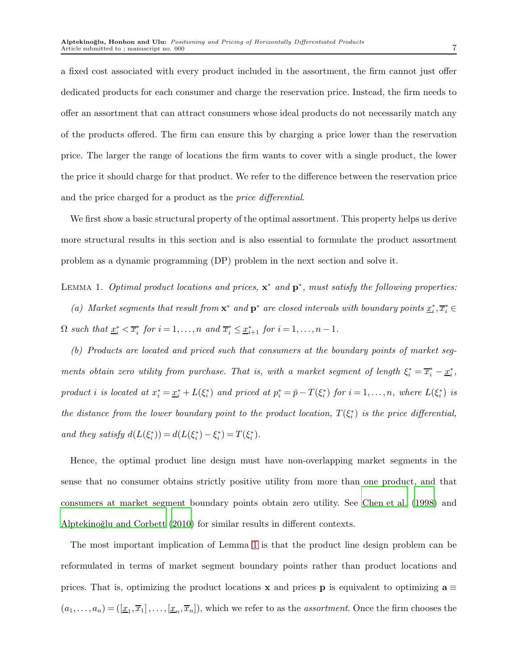a fixed cost associated with every product included in the assortment, the firm cannot just offer dedicated products for each consumer and charge the reservation price. Instead, the firm needs to offer an assortment that can attract consumers whose ideal products do not necessarily match any of the products offered. The firm can ensure this by charging a price lower than the reservation price. The larger the range of locations the firm wants to cover with a single product, the lower the price it should charge for that product. We refer to the difference between the reservation price and the price charged for a product as the price differential.

<span id="page-6-0"></span>We first show a basic structural property of the optimal assortment. This property helps us derive more structural results in this section and is also essential to formulate the product assortment problem as a dynamic programming (DP) problem in the next section and solve it.

LEMMA 1. Optimal product locations and prices,  $\mathbf{x}^*$  and  $\mathbf{p}^*$ , must satisfy the following properties: (a) Market segments that result from  $\mathbf{x}^*$  and  $\mathbf{p}^*$  are closed intervals with boundary points  $\underline{x}_i^*, \overline{x}_i^* \in$  $\Omega$  such that  $\underline{x}_i^* < \overline{x}_i^*$  for  $i = 1, ..., n$  and  $\overline{x}_i^* \leq \underline{x}_{i+1}^*$  for  $i = 1, ..., n-1$ .

(b) Products are located and priced such that consumers at the boundary points of market segments obtain zero utility from purchase. That is, with a market segment of length  $\xi_i^* = \overline{x}_i^* - \underline{x}_i^*$ , product i is located at  $x_i^* = \underline{x}_i^* + L(\xi_i^*)$  and priced at  $p_i^* = \overline{p} - T(\xi_i^*)$  for  $i = 1, \ldots, n$ , where  $L(\xi_i^*)$  is the distance from the lower boundary point to the product location,  $T(\xi_i^*)$  is the price differential, and they satisfy  $d(L(\xi_i^*)) = d(L(\xi_i^*) - \xi_i^*) = T(\xi_i^*)$ .

Hence, the optimal product line design must have non-overlapping market segments in the sense that no consumer obtains strictly positive utility from more than one product, and that consumers at market segment boundary points obtain zero utility. See [Chen et al. \(1998\)](#page-26-3) and Alptekinoğlu and Corbett (2010) for similar results in different contexts.

The most important implication of Lemma [1](#page-6-0) is that the product line design problem can be reformulated in terms of market segment boundary points rather than product locations and prices. That is, optimizing the product locations x and prices **p** is equivalent to optimizing  $a \equiv$  $(a_1,\ldots,a_n) = (\underline{x}_1,\overline{x}_1],\ldots,\underline{x}_n,\overline{x}_n],$  which we refer to as the *assortment*. Once the firm chooses the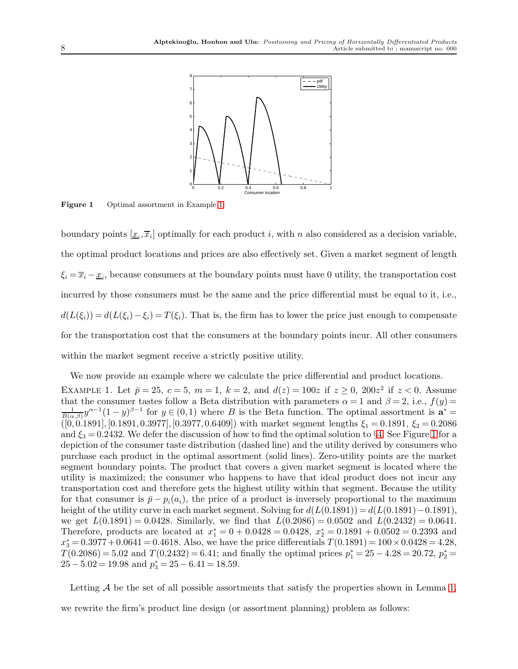

Figure 1 Optimal assortment in Example [1.](#page-7-0)

boundary points  $[\underline{x}_i, \overline{x}_i]$  optimally for each product i, with n also considered as a decision variable, the optimal product locations and prices are also effectively set. Given a market segment of length  $\xi_i = \overline{x}_i - \underline{x}_i$ , because consumers at the boundary points must have 0 utility, the transportation cost incurred by those consumers must be the same and the price differential must be equal to it, i.e.,  $d(L(\xi_i)) = d(L(\xi_i) - \xi_i) = T(\xi_i)$ . That is, the firm has to lower the price just enough to compensate for the transportation cost that the consumers at the boundary points incur. All other consumers within the market segment receive a strictly positive utility.

<span id="page-7-0"></span>We now provide an example where we calculate the price differential and product locations. EXAMPLE 1. Let  $\bar{p} = 25$ ,  $c = 5$ ,  $m = 1$ ,  $k = 2$ , and  $d(z) = 100z$  if  $z \ge 0$ ,  $200z^2$  if  $z < 0$ . Assume that the consumer tastes follow a Beta distribution with parameters  $\alpha = 1$  and  $\beta = 2$ , i.e.,  $f(y) =$  $\frac{1}{B(\alpha,\beta)}y^{\alpha-1}(1-y)^{\beta-1}$  for  $y\in(0,1)$  where B is the Beta function. The optimal assortment is  $\mathbf{a}^* =$  $(0, 0.1891], [0.1891, 0.3977], [0.3977, 0.6409])$  with market segment lengths  $\xi_1 = 0.1891, \xi_2 = 0.2086$ and  $\xi_3 = 0.2432$ . We defer the discussion of how to find the optimal solution to §[4.](#page-12-0) See Figure [1](#page-7-0) for a depiction of the consumer taste distribution (dashed line) and the utility derived by consumers who purchase each product in the optimal assortment (solid lines). Zero-utility points are the market segment boundary points. The product that covers a given market segment is located where the utility is maximized; the consumer who happens to have that ideal product does not incur any transportation cost and therefore gets the highest utility within that segment. Because the utility for that consumer is  $\bar{p} - p_i(a_i)$ , the price of a product is inversely proportional to the maximum height of the utility curve in each market segment. Solving for  $d(L(0.1891)) = d(L(0.1891) - 0.1891)$ , we get  $L(0.1891) = 0.0428$ . Similarly, we find that  $L(0.2086) = 0.0502$  and  $L(0.2432) = 0.0641$ . Therefore, products are located at  $x_1^* = 0 + 0.0428 = 0.0428$ ,  $x_2^* = 0.1891 + 0.0502 = 0.2393$  and  $x_3^* = 0.3977 + 0.0641 = 0.4618$ . Also, we have the price differentials  $T(0.1891) = 100 \times 0.0428 = 4.28$ ,  $T(0.2086) = 5.02$  and  $T(0.2432) = 6.41$ ; and finally the optimal prices  $p_1^* = 25 - 4.28 = 20.72$ ,  $p_2^* =$  $25 - 5.02 = 19.98$  and  $p_3^* = 25 - 6.41 = 18.59$ .

Letting  $A$  be the set of all possible assortments that satisfy the properties shown in Lemma [1,](#page-6-0) we rewrite the firm's product line design (or assortment planning) problem as follows: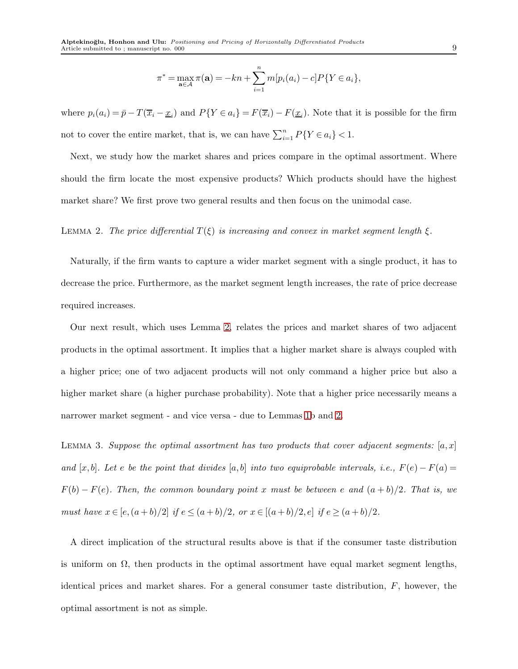$$
\pi^* = \max_{\mathbf{a} \in \mathcal{A}} \pi(\mathbf{a}) = -kn + \sum_{i=1}^n m[p_i(a_i) - c]P\{Y \in a_i\},\
$$

where  $p_i(a_i) = \bar{p} - T(\bar{x}_i - \underline{x}_i)$  and  $P(Y \in a_i) = F(\bar{x}_i) - F(\underline{x}_i)$ . Note that it is possible for the firm not to cover the entire market, that is, we can have  $\sum_{i=1}^{n} P\{Y \in a_i\} < 1$ .

<span id="page-8-0"></span>Next, we study how the market shares and prices compare in the optimal assortment. Where should the firm locate the most expensive products? Which products should have the highest market share? We first prove two general results and then focus on the unimodal case.

#### LEMMA 2. The price differential  $T(\xi)$  is increasing and convex in market segment length  $\xi$ .

Naturally, if the firm wants to capture a wider market segment with a single product, it has to decrease the price. Furthermore, as the market segment length increases, the rate of price decrease required increases.

Our next result, which uses Lemma [2,](#page-8-0) relates the prices and market shares of two adjacent products in the optimal assortment. It implies that a higher market share is always coupled with a higher price; one of two adjacent products will not only command a higher price but also a higher market share (a higher purchase probability). Note that a higher price necessarily means a narrower market segment - and vice versa - due to Lemmas [1b](#page-6-0) and [2.](#page-8-0)

<span id="page-8-1"></span>LEMMA 3. Suppose the optimal assortment has two products that cover adjacent segments:  $[a, x]$ and [x, b]. Let e be the point that divides [a, b] into two equiprobable intervals, i.e.,  $F(e) - F(a) =$  $F(b) - F(e)$ . Then, the common boundary point x must be between e and  $(a + b)/2$ . That is, we must have  $x \in [e,(a+b)/2]$  if  $e \le (a+b)/2$ , or  $x \in [(a+b)/2,e]$  if  $e \ge (a+b)/2$ .

A direct implication of the structural results above is that if the consumer taste distribution is uniform on  $\Omega$ , then products in the optimal assortment have equal market segment lengths, identical prices and market shares. For a general consumer taste distribution, F, however, the optimal assortment is not as simple.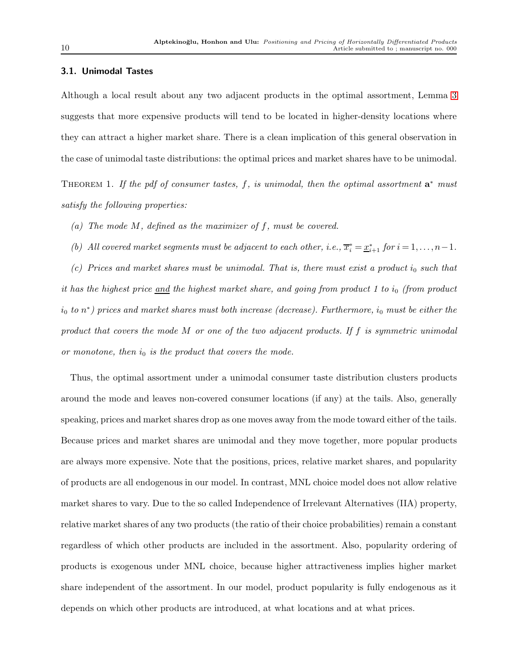#### 3.1. Unimodal Tastes

Although a local result about any two adjacent products in the optimal assortment, Lemma [3](#page-8-1) suggests that more expensive products will tend to be located in higher-density locations where they can attract a higher market share. There is a clean implication of this general observation in the case of unimodal taste distributions: the optimal prices and market shares have to be unimodal.

<span id="page-9-0"></span>THEOREM 1. If the pdf of consumer tastes, f, is unimodal, then the optimal assortment  $a^*$  must satisfy the following properties:

(a) The mode  $M$ , defined as the maximizer of  $f$ , must be covered.

(b) All covered market segments must be adjacent to each other, i.e.,  $\overline{x}_i^* = \underline{x}_{i+1}^*$  for  $i = 1, ..., n-1$ .

(c) Prices and market shares must be unimodal. That is, there must exist a product  $i_0$  such that it has the highest price  $\underline{and}$  the highest market share, and going from product 1 to  $i_0$  (from product  $i_0$  to  $n^*$ ) prices and market shares must both increase (decrease). Furthermore,  $i_0$  must be either the product that covers the mode M or one of the two adjacent products. If f is symmetric unimodal or monotone, then  $i_0$  is the product that covers the mode.

Thus, the optimal assortment under a unimodal consumer taste distribution clusters products around the mode and leaves non-covered consumer locations (if any) at the tails. Also, generally speaking, prices and market shares drop as one moves away from the mode toward either of the tails. Because prices and market shares are unimodal and they move together, more popular products are always more expensive. Note that the positions, prices, relative market shares, and popularity of products are all endogenous in our model. In contrast, MNL choice model does not allow relative market shares to vary. Due to the so called Independence of Irrelevant Alternatives (IIA) property, relative market shares of any two products (the ratio of their choice probabilities) remain a constant regardless of which other products are included in the assortment. Also, popularity ordering of products is exogenous under MNL choice, because higher attractiveness implies higher market share independent of the assortment. In our model, product popularity is fully endogenous as it depends on which other products are introduced, at what locations and at what prices.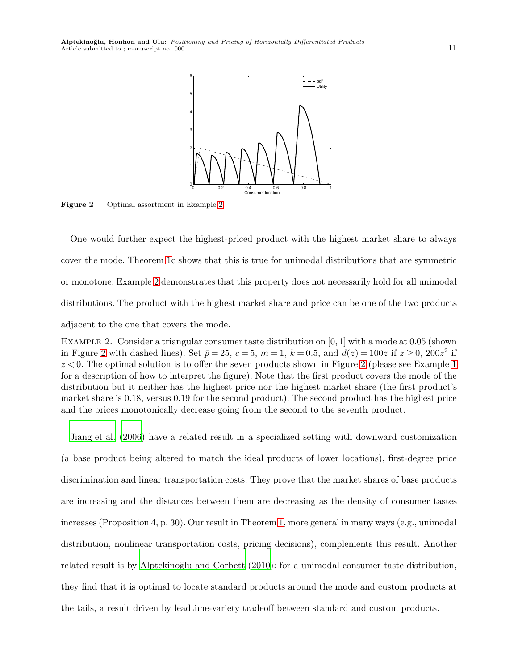<span id="page-10-1"></span>

Figure 2 Optimal assortment in Example [2.](#page-10-0)

One would further expect the highest-priced product with the highest market share to always cover the mode. Theorem [1c](#page-9-0) shows that this is true for unimodal distributions that are symmetric or monotone. Example [2](#page-10-0) demonstrates that this property does not necessarily hold for all unimodal distributions. The product with the highest market share and price can be one of the two products adjacent to the one that covers the mode.

<span id="page-10-0"></span>EXAMPLE 2. Consider a triangular consumer taste distribution on  $[0, 1]$  with a mode at 0.05 (shown in Figure [2](#page-10-1) with dashed lines). Set  $\bar{p} = 25$ ,  $c = 5$ ,  $m = 1$ ,  $k = 0.5$ , and  $d(z) = 100z$  if  $z \ge 0$ ,  $200z^2$  if  $z < 0$ . The optimal solution is to offer the seven products shown in Figure [2](#page-10-1) (please see Example [1](#page-7-0)) for a description of how to interpret the figure). Note that the first product covers the mode of the distribution but it neither has the highest price nor the highest market share (the first product's market share is 0.18, versus 0.19 for the second product). The second product has the highest price and the prices monotonically decrease going from the second to the seventh product.

[Jiang et al. \(2006](#page-27-0)) have a related result in a specialized setting with downward customization (a base product being altered to match the ideal products of lower locations), first-degree price discrimination and linear transportation costs. They prove that the market shares of base products are increasing and the distances between them are decreasing as the density of consumer tastes increases (Proposition 4, p. 30). Our result in Theorem [1,](#page-9-0) more general in many ways (e.g., unimodal distribution, nonlinear transportation costs, pricing decisions), complements this result. Another related result is by Alptekinoğlu and Corbett  $(2010)$ : for a unimodal consumer taste distribution, they find that it is optimal to locate standard products around the mode and custom products at the tails, a result driven by leadtime-variety tradeoff between standard and custom products.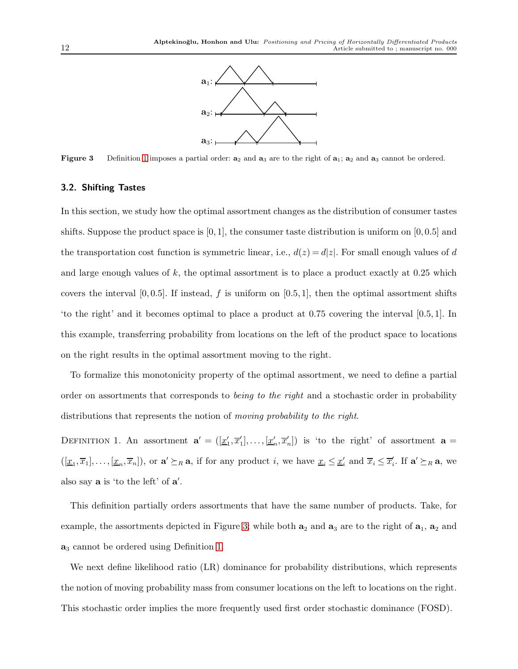

<span id="page-11-1"></span>**Figure 3** Definition [1](#page-11-0) imposes a partial order:  $a_2$  and  $a_3$  are to the right of  $a_1$ ;  $a_2$  and  $a_3$  cannot be ordered.

#### 3.2. Shifting Tastes

In this section, we study how the optimal assortment changes as the distribution of consumer tastes shifts. Suppose the product space is  $[0, 1]$ , the consumer taste distribution is uniform on  $[0, 0.5]$  and the transportation cost function is symmetric linear, i.e.,  $d(z) = d|z|$ . For small enough values of d and large enough values of  $k$ , the optimal assortment is to place a product exactly at  $0.25$  which covers the interval  $[0, 0.5]$ . If instead, f is uniform on  $[0.5, 1]$ , then the optimal assortment shifts 'to the right' and it becomes optimal to place a product at 0.75 covering the interval [0.5, 1]. In this example, transferring probability from locations on the left of the product space to locations on the right results in the optimal assortment moving to the right.

<span id="page-11-0"></span>To formalize this monotonicity property of the optimal assortment, we need to define a partial order on assortments that corresponds to *being to the right* and a stochastic order in probability distributions that represents the notion of *moving probability to the right*.

DEFINITION 1. An assortment  $\mathbf{a}' = (\underline{x}'_1, \overline{x}'_1], \ldots, \underline{x}'_n, \overline{x}'_n]$  is 'to the right' of assortment  $\mathbf{a} =$  $([\underline{x}_1, \overline{x}_1], \ldots, [\underline{x}_n, \overline{x}_n])$ , or  $\mathbf{a}' \succeq_R \mathbf{a}$ , if for any product i, we have  $\underline{x}_i \leq \underline{x}'_i$  and  $\overline{x}_i \leq \overline{x}'_i$ . If  $\mathbf{a}' \succeq_R \mathbf{a}$ , we also say  $\bf{a}$  is 'to the left' of  $\bf{a}'$ .

This definition partially orders assortments that have the same number of products. Take, for example, the assortments depicted in Figure [3;](#page-11-1) while both  $a_2$  and  $a_3$  are to the right of  $a_1$ ,  $a_2$  and  $a_3$  cannot be ordered using Definition [1.](#page-11-0)

We next define likelihood ratio (LR) dominance for probability distributions, which represents the notion of moving probability mass from consumer locations on the left to locations on the right. This stochastic order implies the more frequently used first order stochastic dominance (FOSD).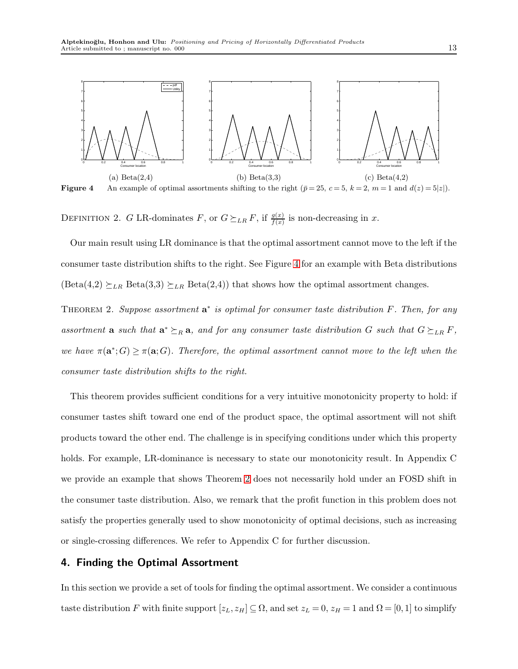<span id="page-12-1"></span>

Figure 4 An example of optimal assortments shifting to the right  $(\bar{p} = 25, c = 5, k = 2, m = 1 \text{ and } d(z) = 5|z|)$ .

DEFINITION 2. G LR-dominates F, or  $G \succeq_{LR} F$ , if  $\frac{g(x)}{f(x)}$  is non-decreasing in x.

<span id="page-12-2"></span>Our main result using LR dominance is that the optimal assortment cannot move to the left if the consumer taste distribution shifts to the right. See Figure [4](#page-12-1) for an example with Beta distributions  $(\text{Beta}(4,2) \succeq_{LR} \text{Beta}(3,3) \succeq_{LR} \text{Beta}(2,4))$  that shows how the optimal assortment changes.

THEOREM 2. Suppose assortment  $a^*$  is optimal for consumer taste distribution F. Then, for any assortment **a** such that  $\mathbf{a}^* \succeq_R \mathbf{a}$ , and for any consumer taste distribution G such that  $G \succeq_{LR} F$ , we have  $\pi(\mathbf{a}^*;G) \geq \pi(\mathbf{a};G)$ . Therefore, the optimal assortment cannot move to the left when the consumer taste distribution shifts to the right.

This theorem provides sufficient conditions for a very intuitive monotonicity property to hold: if consumer tastes shift toward one end of the product space, the optimal assortment will not shift products toward the other end. The challenge is in specifying conditions under which this property holds. For example, LR-dominance is necessary to state our monotonicity result. In Appendix C we provide an example that shows Theorem [2](#page-12-2) does not necessarily hold under an FOSD shift in the consumer taste distribution. Also, we remark that the profit function in this problem does not satisfy the properties generally used to show monotonicity of optimal decisions, such as increasing or single-crossing differences. We refer to Appendix C for further discussion.

## <span id="page-12-0"></span>4. Finding the Optimal Assortment

In this section we provide a set of tools for finding the optimal assortment. We consider a continuous taste distribution F with finite support  $[z_L, z_H] \subseteq \Omega$ , and set  $z_L = 0$ ,  $z_H = 1$  and  $\Omega = [0, 1]$  to simplify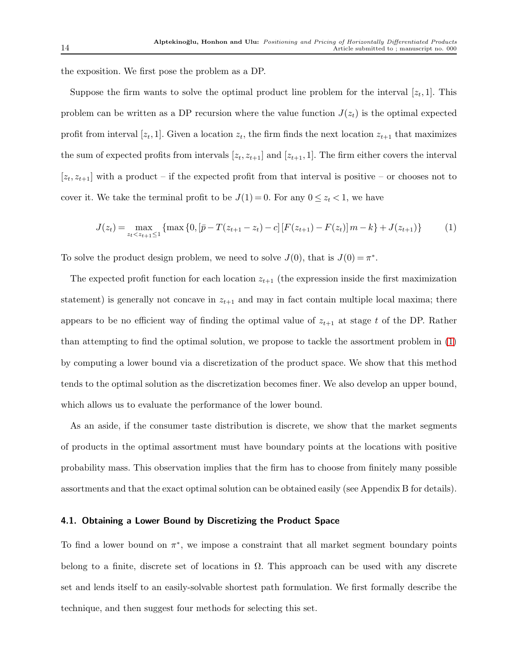the exposition. We first pose the problem as a DP.

Suppose the firm wants to solve the optimal product line problem for the interval  $[z_t,1]$ . This problem can be written as a DP recursion where the value function  $J(z_t)$  is the optimal expected profit from interval [ $z_t$ , 1]. Given a location  $z_t$ , the firm finds the next location  $z_{t+1}$  that maximizes the sum of expected profits from intervals  $[z_t, z_{t+1}]$  and  $[z_{t+1}, 1]$ . The firm either covers the interval  $[z_t, z_{t+1}]$  with a product – if the expected profit from that interval is positive – or chooses not to cover it. We take the terminal profit to be  $J(1) = 0$ . For any  $0 \le z_t < 1$ , we have

<span id="page-13-0"></span>
$$
J(z_t) = \max_{z_t < z_{t+1} \le 1} \{ \max\{0, [\bar{p} - T(z_{t+1} - z_t) - c] \left[ F(z_{t+1}) - F(z_t) \right] m - k \} + J(z_{t+1}) \} \tag{1}
$$

To solve the product design problem, we need to solve  $J(0)$ , that is  $J(0) = \pi^*$ .

The expected profit function for each location  $z_{t+1}$  (the expression inside the first maximization statement) is generally not concave in  $z_{t+1}$  and may in fact contain multiple local maxima; there appears to be no efficient way of finding the optimal value of  $z_{t+1}$  at stage t of the DP. Rather than attempting to find the optimal solution, we propose to tackle the assortment problem in [\(1\)](#page-13-0) by computing a lower bound via a discretization of the product space. We show that this method tends to the optimal solution as the discretization becomes finer. We also develop an upper bound, which allows us to evaluate the performance of the lower bound.

As an aside, if the consumer taste distribution is discrete, we show that the market segments of products in the optimal assortment must have boundary points at the locations with positive probability mass. This observation implies that the firm has to choose from finitely many possible assortments and that the exact optimal solution can be obtained easily (see Appendix B for details).

#### <span id="page-13-1"></span>4.1. Obtaining a Lower Bound by Discretizing the Product Space

To find a lower bound on  $\pi^*$ , we impose a constraint that all market segment boundary points belong to a finite, discrete set of locations in  $\Omega$ . This approach can be used with any discrete set and lends itself to an easily-solvable shortest path formulation. We first formally describe the technique, and then suggest four methods for selecting this set.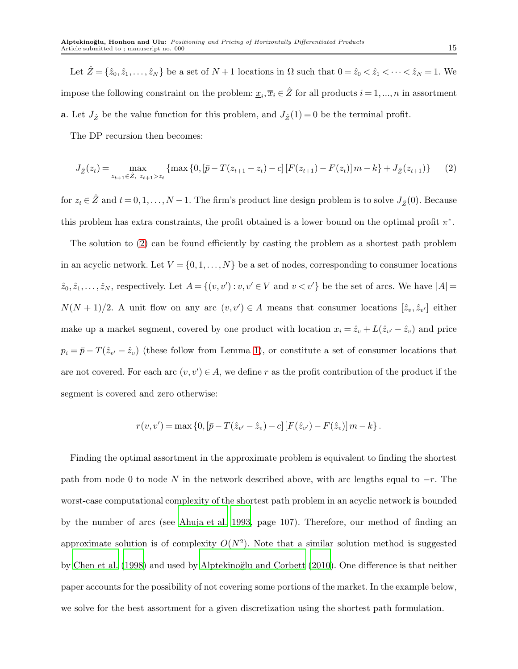Let  $\hat{Z} = \{\hat{z}_0, \hat{z}_1, \dots, \hat{z}_N\}$  be a set of  $N + 1$  locations in  $\Omega$  such that  $0 = \hat{z}_0 < \hat{z}_1 < \dots < \hat{z}_N = 1$ . We impose the following constraint on the problem:  $\underline{x}_i, \overline{x}_i \in \hat{Z}$  for all products  $i = 1, ..., n$  in assortment **a**. Let  $J_{\hat{Z}}$  be the value function for this problem, and  $J_{\hat{Z}}(1) = 0$  be the terminal profit.

The DP recursion then becomes:

<span id="page-14-0"></span>
$$
J_{\hat{Z}}(z_t) = \max_{z_{t+1} \in \hat{Z}, \ z_{t+1} > z_t} \{ \max \{ 0, [\bar{p} - T(z_{t+1} - z_t) - c] [F(z_{t+1}) - F(z_t)] \} m - k \} + J_{\hat{Z}}(z_{t+1}) \}
$$
(2)

for  $z_t \in \hat{Z}$  and  $t = 0, 1, ..., N - 1$ . The firm's product line design problem is to solve  $J_{\hat{Z}}(0)$ . Because this problem has extra constraints, the profit obtained is a lower bound on the optimal profit  $\pi^*$ .

The solution to [\(2\)](#page-14-0) can be found efficiently by casting the problem as a shortest path problem in an acyclic network. Let  $V = \{0, 1, ..., N\}$  be a set of nodes, corresponding to consumer locations  $\hat{z}_0, \hat{z}_1, \ldots, \hat{z}_N$ , respectively. Let  $A = \{(v, v') : v, v' \in V \text{ and } v < v'\}$  be the set of arcs. We have  $|A|$  $N(N+1)/2$ . A unit flow on any arc  $(v, v') \in A$  means that consumer locations  $[\hat{z}_v, \hat{z}_{v'}]$  either make up a market segment, covered by one product with location  $x_i = \hat{z}_v + L(\hat{z}_{v'} - \hat{z}_v)$  and price  $p_i = \bar{p} - T(\hat{z}_{v'} - \hat{z}_v)$  (these follow from Lemma [1\)](#page-6-0), or constitute a set of consumer locations that are not covered. For each arc  $(v, v') \in A$ , we define r as the profit contribution of the product if the segment is covered and zero otherwise:

$$
r(v, v') = \max\left\{0, \left[\bar{p} - T(\hat{z}_{v'} - \hat{z}_v) - c\right] \left[F(\hat{z}_{v'}) - F(\hat{z}_v)\right]m - k\right\}.
$$

<span id="page-14-1"></span>Finding the optimal assortment in the approximate problem is equivalent to finding the shortest path from node 0 to node N in the network described above, with arc lengths equal to  $-r$ . The worst-case computational complexity of the shortest path problem in an acyclic network is bounded by the number of arcs (see [Ahuja et al. 1993,](#page-26-8) page 107). Therefore, our method of finding an approximate solution is of complexity  $O(N^2)$ . Note that a similar solution method is suggested by [Chen et al. \(1998](#page-26-3)) and used by Alptekinoğlu and Corbett (2010). One difference is that neither paper accounts for the possibility of not covering some portions of the market. In the example below, we solve for the best assortment for a given discretization using the shortest path formulation.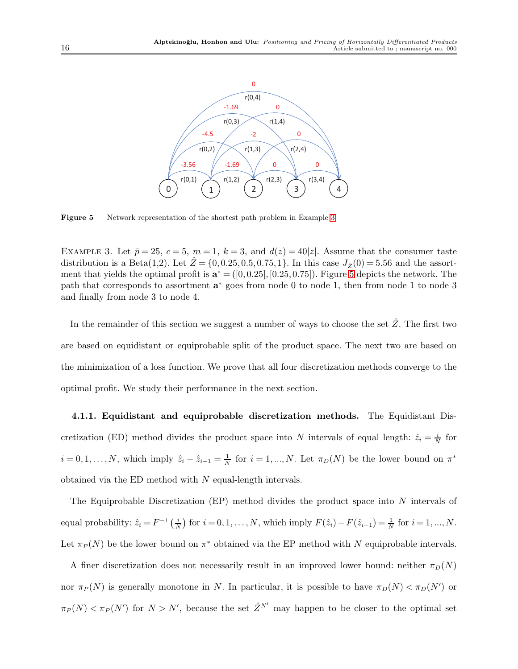<span id="page-15-0"></span>

Figure 5 Network representation of the shortest path problem in Example [3.](#page-14-1)

EXAMPLE 3. Let  $\bar{p} = 25$ ,  $c = 5$ ,  $m = 1$ ,  $k = 3$ , and  $d(z) = 40|z|$ . Assume that the consumer taste distribution is a Beta(1,2). Let  $\hat{Z} = \{0, 0.25, 0.5, 0.75, 1\}$ . In this case  $J_{\hat{Z}}(0) = 5.56$  and the assortment that yields the optimal profit is  $\mathbf{a}^* = ([0, 0.25], [0.25, 0.75])$  $\mathbf{a}^* = ([0, 0.25], [0.25, 0.75])$  $\mathbf{a}^* = ([0, 0.25], [0.25, 0.75])$ . Figure 5 depicts the network. The path that corresponds to assortment  $a^*$  goes from node 0 to node 1, then from node 1 to node 3 and finally from node 3 to node 4.

In the remainder of this section we suggest a number of ways to choose the set  $\hat{Z}$ . The first two are based on equidistant or equiprobable split of the product space. The next two are based on the minimization of a loss function. We prove that all four discretization methods converge to the optimal profit. We study their performance in the next section.

<span id="page-15-1"></span>4.1.1. Equidistant and equiprobable discretization methods. The Equidistant Discretization (ED) method divides the product space into N intervals of equal length:  $\hat{z}_i = \frac{i}{\Delta}$  $\frac{i}{N}$  for  $i = 0, 1, \ldots, N$ , which imply  $\hat{z}_i - \hat{z}_{i-1} = \frac{1}{N}$  for  $i = 1, \ldots, N$ . Let  $\pi_D(N)$  be the lower bound on  $\pi^*$ obtained via the ED method with N equal-length intervals.

The Equiprobable Discretization (EP) method divides the product space into  $N$  intervals of equal probability:  $\hat{z}_i = F^{-1} \left( \frac{i}{\Delta} \right)$  $\frac{i}{N}$  for  $i = 0, 1, ..., N$ , which imply  $F(\hat{z}_i) - F(\hat{z}_{i-1}) = \frac{1}{N}$  for  $i = 1, ..., N$ . Let  $\pi_P(N)$  be the lower bound on  $\pi^*$  obtained via the EP method with N equiprobable intervals.

A finer discretization does not necessarily result in an improved lower bound: neither  $\pi_D(N)$ nor  $\pi_P(N)$  is generally monotone in N. In particular, it is possible to have  $\pi_D(N) < \pi_D(N')$  or  $\pi_P(N) < \pi_P(N')$  for  $N > N'$ , because the set  $\hat{Z}^{N'}$  may happen to be closer to the optimal set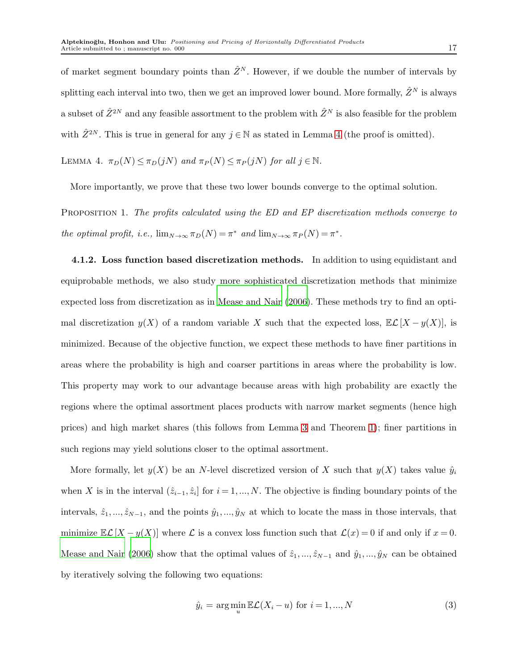of market segment boundary points than  $\hat{Z}^N$ . However, if we double the number of intervals by splitting each interval into two, then we get an improved lower bound. More formally,  $\hat{Z}^N$  is always a subset of  $\hat{Z}^{2N}$  and any feasible assortment to the problem with  $\hat{Z}^{N}$  is also feasible for the problem with  $\hat{Z}^{2N}$ . This is true in general for any  $j \in \mathbb{N}$  as stated in Lemma [4](#page-16-0) (the proof is omitted).

<span id="page-16-0"></span>LEMMA 4.  $\pi_D(N) \leq \pi_D(jN)$  and  $\pi_P(N) \leq \pi_P(jN)$  for all  $j \in \mathbb{N}$ .

<span id="page-16-2"></span>More importantly, we prove that these two lower bounds converge to the optimal solution.

<span id="page-16-1"></span>PROPOSITION 1. The profits calculated using the ED and EP discretization methods converge to the optimal profit, i.e.,  $\lim_{N \to \infty} \pi_D(N) = \pi^*$  and  $\lim_{N \to \infty} \pi_P(N) = \pi^*$ .

4.1.2. Loss function based discretization methods. In addition to using equidistant and equiprobable methods, we also study more sophisticated discretization methods that minimize expected loss from discretization as in [Mease and Nair \(2006\)](#page-27-8). These methods try to find an optimal discretization  $y(X)$  of a random variable X such that the expected loss,  $\mathbb{E}\mathcal{L}[X - y(X)]$ , is minimized. Because of the objective function, we expect these methods to have finer partitions in areas where the probability is high and coarser partitions in areas where the probability is low. This property may work to our advantage because areas with high probability are exactly the regions where the optimal assortment places products with narrow market segments (hence high prices) and high market shares (this follows from Lemma [3](#page-8-1) and Theorem [1\)](#page-9-0); finer partitions in such regions may yield solutions closer to the optimal assortment.

More formally, let  $y(X)$  be an N-level discretized version of X such that  $y(X)$  takes value  $\hat{y}_i$ when X is in the interval  $(\hat{z}_{i-1}, \hat{z}_i]$  for  $i = 1, ..., N$ . The objective is finding boundary points of the intervals,  $\hat{z}_1, ..., \hat{z}_{N-1}$ , and the points  $\hat{y}_1, ..., \hat{y}_N$  at which to locate the mass in those intervals, that minimize  $\mathbb{E}\mathcal{L}[X - y(X)]$  where  $\mathcal L$  is a convex loss function such that  $\mathcal L(x) = 0$  if and only if  $x = 0$ . [Mease and Nair \(2006\)](#page-27-8) show that the optimal values of  $\hat{z}_1, ..., \hat{z}_{N-1}$  and  $\hat{y}_1, ..., \hat{y}_N$  can be obtained by iteratively solving the following two equations:

<span id="page-16-3"></span>
$$
\hat{y}_i = \arg\min_{u} \mathbb{E}\mathcal{L}(X_i - u) \text{ for } i = 1, ..., N
$$
\n(3)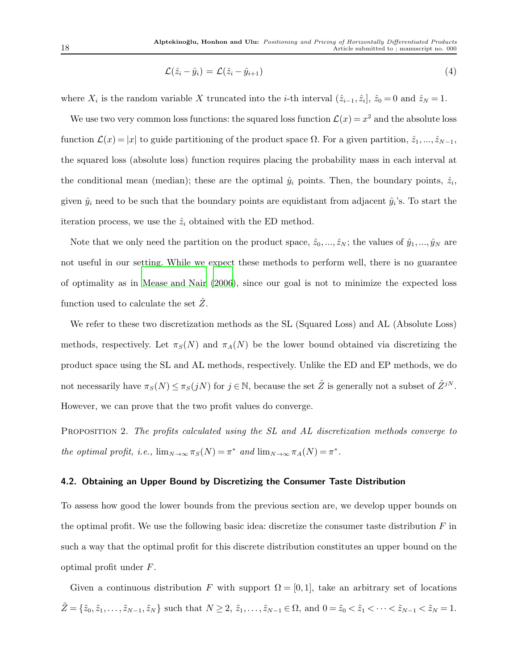$$
\mathcal{L}(\hat{z}_i - \hat{y}_i) = \mathcal{L}(\hat{z}_i - \hat{y}_{i+1})
$$
\n(4)

where  $X_i$  is the random variable X truncated into the *i*-th interval  $(\hat{z}_{i-1}, \hat{z}_i], \hat{z}_0 = 0$  and  $\hat{z}_N = 1$ .

We use two very common loss functions: the squared loss function  $\mathcal{L}(x) = x^2$  and the absolute loss function  $\mathcal{L}(x) = |x|$  to guide partitioning of the product space  $\Omega$ . For a given partition,  $\hat{z}_1, ..., \hat{z}_{N-1}$ , the squared loss (absolute loss) function requires placing the probability mass in each interval at the conditional mean (median); these are the optimal  $\hat{y}_i$  points. Then, the boundary points,  $\hat{z}_i$ , given  $\hat{y}_i$  need to be such that the boundary points are equidistant from adjacent  $\hat{y}_i$ 's. To start the iteration process, we use the  $\hat{z}_i$  obtained with the ED method.

Note that we only need the partition on the product space,  $\hat{z}_0, \ldots, \hat{z}_N$ ; the values of  $\hat{y}_1, \ldots, \hat{y}_N$  are not useful in our setting. While we expect these methods to perform well, there is no guarantee of optimality as in [Mease and Nair \(2006](#page-27-8)), since our goal is not to minimize the expected loss function used to calculate the set  $Z$ .

We refer to these two discretization methods as the SL (Squared Loss) and AL (Absolute Loss) methods, respectively. Let  $\pi_S(N)$  and  $\pi_A(N)$  be the lower bound obtained via discretizing the product space using the SL and AL methods, respectively. Unlike the ED and EP methods, we do not necessarily have  $\pi_S(N) \leq \pi_S(jN)$  for  $j \in \mathbb{N}$ , because the set  $\hat{Z}$  is generally not a subset of  $\hat{Z}^{jN}$ . However, we can prove that the two profit values do converge.

<span id="page-17-1"></span><span id="page-17-0"></span>PROPOSITION 2. The profits calculated using the SL and AL discretization methods converge to the optimal profit, i.e.,  $\lim_{N\to\infty} \pi_S(N) = \pi^*$  and  $\lim_{N\to\infty} \pi_A(N) = \pi^*$ .

#### 4.2. Obtaining an Upper Bound by Discretizing the Consumer Taste Distribution

To assess how good the lower bounds from the previous section are, we develop upper bounds on the optimal profit. We use the following basic idea: discretize the consumer taste distribution  $F$  in such a way that the optimal profit for this discrete distribution constitutes an upper bound on the optimal profit under F.

Given a continuous distribution F with support  $\Omega = [0, 1]$ , take an arbitrary set of locations  $\tilde{Z} = \{\tilde{z}_0, \tilde{z}_1, \ldots, \tilde{z}_{N-1}, \tilde{z}_N\}$  such that  $N \geq 2, \tilde{z}_1, \ldots, \tilde{z}_{N-1} \in \Omega$ , and  $0 = \tilde{z}_0 < \tilde{z}_1 < \cdots < \tilde{z}_{N-1} < \tilde{z}_N = 1$ .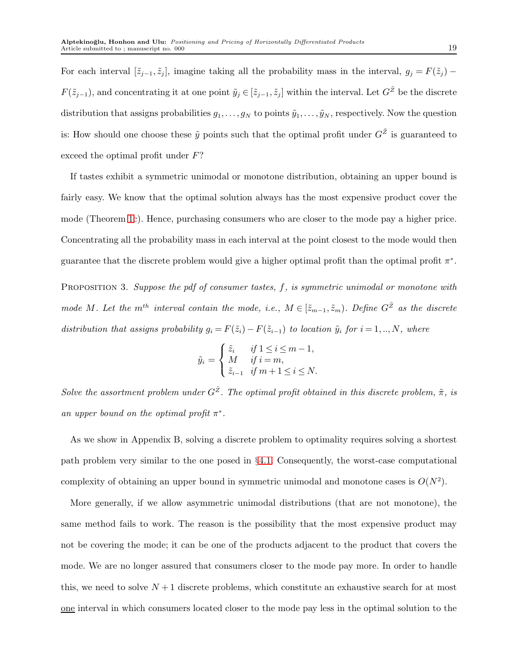For each interval  $[\tilde{z}_{j-1}, \tilde{z}_j]$ , imagine taking all the probability mass in the interval,  $g_j = F(\tilde{z}_j)$  –  $F(\tilde{z}_{j-1})$ , and concentrating it at one point  $\tilde{y}_j \in [\tilde{z}_{j-1}, \tilde{z}_j]$  within the interval. Let  $G^{\tilde{Z}}$  be the discrete distribution that assigns probabilities  $g_1, \ldots, g_N$  to points  $\tilde{y}_1, \ldots, \tilde{y}_N$ , respectively. Now the question is: How should one choose these  $\tilde{y}$  points such that the optimal profit under  $G^{\tilde{Z}}$  is guaranteed to exceed the optimal profit under F?

If tastes exhibit a symmetric unimodal or monotone distribution, obtaining an upper bound is fairly easy. We know that the optimal solution always has the most expensive product cover the mode (Theorem [1c](#page-9-0)). Hence, purchasing consumers who are closer to the mode pay a higher price. Concentrating all the probability mass in each interval at the point closest to the mode would then guarantee that the discrete problem would give a higher optimal profit than the optimal profit  $\pi^*$ .

<span id="page-18-0"></span>PROPOSITION 3. Suppose the pdf of consumer tastes,  $f$ , is symmetric unimodal or monotone with mode M. Let the m<sup>th</sup> interval contain the mode, i.e.,  $M \in [\tilde{z}_{m-1}, \tilde{z}_m)$ . Define  $G^{\tilde{Z}}$  as the discrete distribution that assigns probability  $g_i = F(\tilde{z}_i) - F(\tilde{z}_{i-1})$  to location  $\tilde{y}_i$  for  $i = 1, ..., N$ , where

$$
\tilde{y}_i = \begin{cases} \tilde{z}_i & \text{if } 1 \le i \le m-1, \\ M & \text{if } i = m, \\ \tilde{z}_{i-1} & \text{if } m+1 \le i \le N. \end{cases}
$$

Solve the assortment problem under  $G^{\tilde{Z}}$ . The optimal profit obtained in this discrete problem,  $\tilde{\pi}$ , is an upper bound on the optimal profit  $\pi^*$ .

As we show in Appendix B, solving a discrete problem to optimality requires solving a shortest path problem very similar to the one posed in §[4.1.](#page-13-1) Consequently, the worst-case computational complexity of obtaining an upper bound in symmetric unimodal and monotone cases is  $O(N^2)$ .

More generally, if we allow asymmetric unimodal distributions (that are not monotone), the same method fails to work. The reason is the possibility that the most expensive product may not be covering the mode; it can be one of the products adjacent to the product that covers the mode. We are no longer assured that consumers closer to the mode pay more. In order to handle this, we need to solve  $N+1$  discrete problems, which constitute an exhaustive search for at most one interval in which consumers located closer to the mode pay less in the optimal solution to the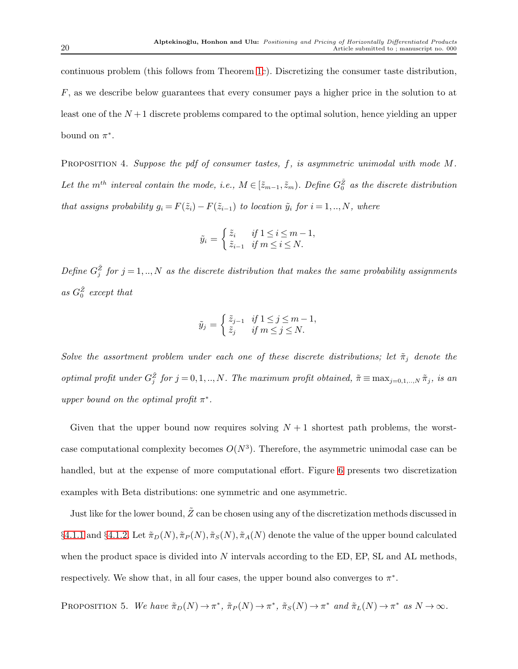continuous problem (this follows from Theorem [1c](#page-9-0)). Discretizing the consumer taste distribution,  $F$ , as we describe below guarantees that every consumer pays a higher price in the solution to at least one of the  $N+1$  discrete problems compared to the optimal solution, hence yielding an upper bound on  $\pi^*$ .

<span id="page-19-0"></span>PROPOSITION 4. Suppose the pdf of consumer tastes, f, is asymmetric unimodal with mode M. Let the  $m^{th}$  interval contain the mode, i.e.,  $M \in [\tilde{z}_{m-1}, \tilde{z}_m)$ . Define  $G_0^{\tilde{z}}$  as the discrete distribution that assigns probability  $g_i = F(\tilde{z}_i) - F(\tilde{z}_{i-1})$  to location  $\tilde{y}_i$  for  $i = 1, ..., N$ , where

$$
\tilde{y}_i = \begin{cases} \tilde{z}_i & \text{if } 1 \le i \le m-1, \\ \tilde{z}_{i-1} & \text{if } m \le i \le N. \end{cases}
$$

Define  $G_j^{\tilde{Z}}$  for  $j = 1, ..., N$  as the discrete distribution that makes the same probability assignments as  $G_0^{\tilde{Z}}$  except that

$$
\tilde{y}_j = \begin{cases} \tilde{z}_{j-1} & \text{if } 1 \le j \le m-1, \\ \tilde{z}_j & \text{if } m \le j \le N. \end{cases}
$$

Solve the assortment problem under each one of these discrete distributions; let  $\tilde{\pi}_j$  denote the optimal profit under  $G_j^{\tilde{Z}}$  for  $j = 0, 1, ..., N$ . The maximum profit obtained,  $\tilde{\pi} \equiv \max_{j=0,1,...,N} \tilde{\pi}_j$ , is an upper bound on the optimal profit  $\pi^*$ .

Given that the upper bound now requires solving  $N+1$  shortest path problems, the worstcase computational complexity becomes  $O(N^3)$ . Therefore, the asymmetric unimodal case can be handled, but at the expense of more computational effort. Figure [6](#page-20-1) presents two discretization examples with Beta distributions: one symmetric and one asymmetric.

Just like for the lower bound,  $Z$  can be chosen using any of the discretization methods discussed in §[4.1.1](#page-15-1) and §[4.1.2.](#page-16-1) Let  $\tilde{\pi}_D(N), \tilde{\pi}_P(N), \tilde{\pi}_S(N), \tilde{\pi}_A(N)$  denote the value of the upper bound calculated when the product space is divided into  $N$  intervals according to the ED, EP, SL and AL methods, respectively. We show that, in all four cases, the upper bound also converges to  $\pi^*$ .

<span id="page-19-1"></span>PROPOSITION 5. We have  $\tilde{\pi}_D(N) \to \pi^*$ ,  $\tilde{\pi}_P(N) \to \pi^*$ ,  $\tilde{\pi}_S(N) \to \pi^*$  and  $\tilde{\pi}_L(N) \to \pi^*$  as  $N \to \infty$ .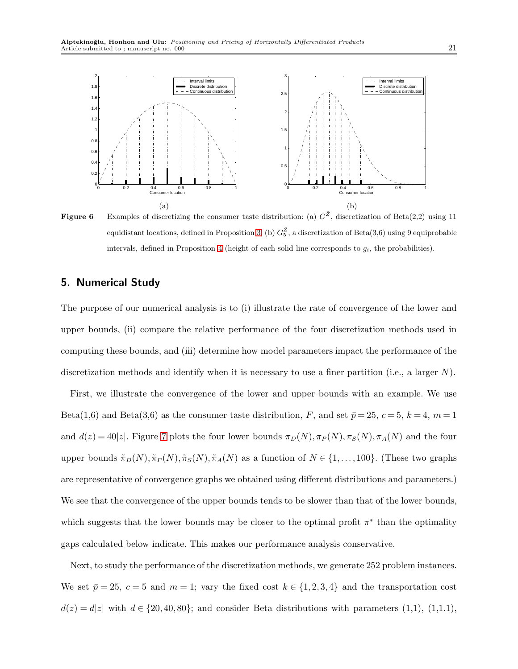<span id="page-20-1"></span>

Figure 6 Examples of discretizing the consumer taste distribution: (a)  $G^{\tilde{Z}}$ , discretization of Beta(2,2) using 11 equidistant locations, defined in Proposition [3;](#page-18-0) (b)  $G_5^{\tilde{Z}}$ , a discretization of Beta(3,6) using 9 equiprobable intervals, defined in Proposition [4](#page-19-0) (height of each solid line corresponds to  $g_i$ , the probabilities).

## <span id="page-20-0"></span>5. Numerical Study

The purpose of our numerical analysis is to (i) illustrate the rate of convergence of the lower and upper bounds, (ii) compare the relative performance of the four discretization methods used in computing these bounds, and (iii) determine how model parameters impact the performance of the discretization methods and identify when it is necessary to use a finer partition (i.e., a larger  $N$ ).

First, we illustrate the convergence of the lower and upper bounds with an example. We use Beta(1,6) and Beta(3,6) as the consumer taste distribution, F, and set  $\bar{p} = 25, c = 5, k = 4, m = 1$ and  $d(z) = 40|z|$ . Figure [7](#page-21-0) plots the four lower bounds  $\pi_D(N), \pi_P(N), \pi_S(N), \pi_A(N)$  and the four upper bounds  $\tilde{\pi}_D(N), \tilde{\pi}_P(N), \tilde{\pi}_S(N), \tilde{\pi}_A(N)$  as a function of  $N \in \{1, ..., 100\}$ . (These two graphs are representative of convergence graphs we obtained using different distributions and parameters.) We see that the convergence of the upper bounds tends to be slower than that of the lower bounds, which suggests that the lower bounds may be closer to the optimal profit  $\pi^*$  than the optimality gaps calculated below indicate. This makes our performance analysis conservative.

Next, to study the performance of the discretization methods, we generate 252 problem instances. We set  $\bar{p} = 25$ ,  $c = 5$  and  $m = 1$ ; vary the fixed cost  $k \in \{1, 2, 3, 4\}$  and the transportation cost  $d(z) = d|z|$  with  $d \in \{20, 40, 80\}$ ; and consider Beta distributions with parameters  $(1,1), (1,1.1),$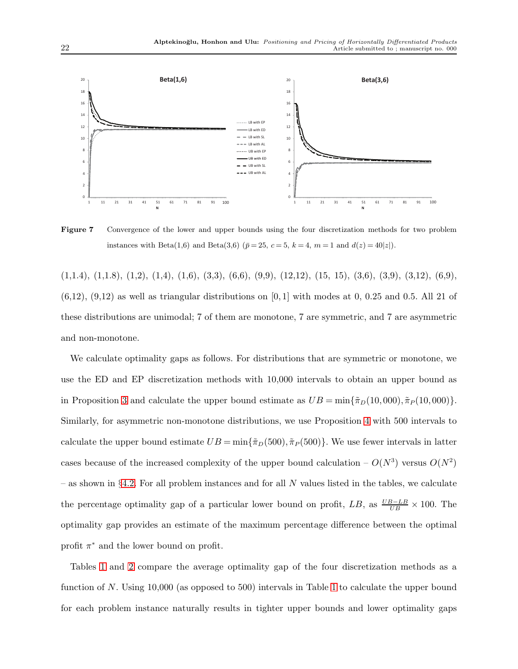<span id="page-21-0"></span>

Figure 7 Convergence of the lower and upper bounds using the four discretization methods for two problem instances with Beta(1,6) and Beta(3,6) ( $\bar{p} = 25$ ,  $c = 5$ ,  $k = 4$ ,  $m = 1$  and  $d(z) = 40|z|$ ).

 $(1,1.4)$ ,  $(1,1.8)$ ,  $(1,2)$ ,  $(1,4)$ ,  $(1,6)$ ,  $(3,3)$ ,  $(6,6)$ ,  $(9,9)$ ,  $(12,12)$ ,  $(15, 15)$ ,  $(3,6)$ ,  $(3,9)$ ,  $(3,12)$ ,  $(6,9)$ ,  $(6,12)$ ,  $(9,12)$  as well as triangular distributions on [0,1] with modes at 0,00.25 and 0.5. All 21 of these distributions are unimodal; 7 of them are monotone, 7 are symmetric, and 7 are asymmetric and non-monotone.

We calculate optimality gaps as follows. For distributions that are symmetric or monotone, we use the ED and EP discretization methods with 10,000 intervals to obtain an upper bound as in Proposition [3](#page-18-0) and calculate the upper bound estimate as  $UB = \min{\{\tilde{\pi}_D(10,000), \tilde{\pi}_P(10,000)\}}$ . Similarly, for asymmetric non-monotone distributions, we use Proposition [4](#page-19-0) with 500 intervals to calculate the upper bound estimate  $UB = \min{\lbrace \tilde{\pi}_D(500), \tilde{\pi}_P(500) \rbrace}$ . We use fewer intervals in latter cases because of the increased complexity of the upper bound calculation  $- O(N^3)$  versus  $O(N^2)$ – as shown in §[4.2.](#page-17-0) For all problem instances and for all N values listed in the tables, we calculate the percentage optimality gap of a particular lower bound on profit,  $LB$ , as  $\frac{UB - LB}{UB} \times 100$ . The optimality gap provides an estimate of the maximum percentage difference between the optimal profit  $\pi^*$  and the lower bound on profit.

Tables [1](#page-22-0) and [2](#page-22-1) compare the average optimality gap of the four discretization methods as a function of N. Using 10,000 (as opposed to 500) intervals in Table [1](#page-22-0) to calculate the upper bound for each problem instance naturally results in tighter upper bounds and lower optimality gaps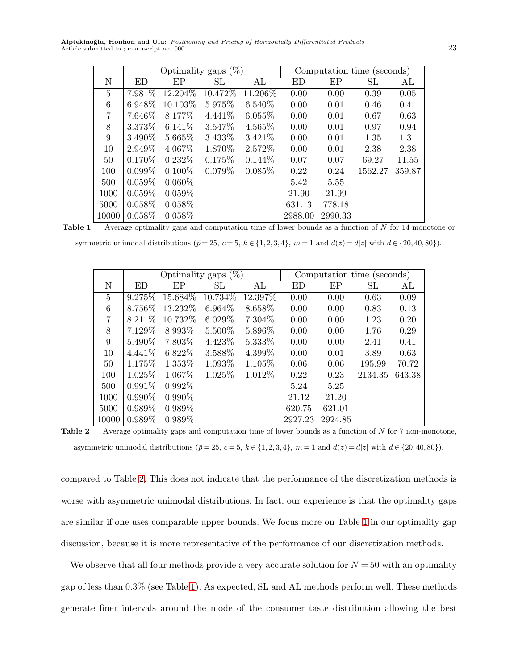<span id="page-22-0"></span>Alptekinoğlu, Honhon and Ulu: Positioning and Pricing of Horizontally Differentiated Products Article submitted to ; manuscript no. 000 23

|                | Optimality gaps $(\%)$ |           |           |           | Computation time (seconds) |         |         |        |
|----------------|------------------------|-----------|-----------|-----------|----------------------------|---------|---------|--------|
| N              | ED                     | EP        | SL        | AL        | ED                         | EP      | SL      | AL     |
| $\overline{5}$ | 7.981\%                | 12.204\%  | 10.472\%  | 11.206\%  | 0.00                       | 0.00    | 0.39    | 0.05   |
| $\,6\,$        | 6.948\%                | 10.103\%  | 5.975%    | $6.540\%$ | 0.00                       | 0.01    | 0.46    | 0.41   |
| $\overline{7}$ | 7.646\%                | 8.177\%   | 4.441\%   | $6.055\%$ | 0.00                       | 0.01    | 0.67    | 0.63   |
| 8              | 3.373\%                | $6.141\%$ | 3.547%    | 4.565%    | 0.00                       | 0.01    | 0.97    | 0.94   |
| 9              | 3.490\%                | 5.665%    | 3.433\%   | $3.421\%$ | 0.00                       | 0.01    | 1.35    | 1.31   |
| 10             | 2.949\%                | $4.067\%$ | 1.870\%   | $2.572\%$ | 0.00                       | 0.01    | 2.38    | 2.38   |
| 50             | $0.170\%$              | $0.232\%$ | 0.175%    | $0.144\%$ | 0.07                       | 0.07    | 69.27   | 11.55  |
| 100            | $0.099\%$              | $0.100\%$ | $0.079\%$ | $0.085\%$ | 0.22                       | 0.24    | 1562.27 | 359.87 |
| 500            | $0.059\%$              | $0.060\%$ |           |           | 5.42                       | 5.55    |         |        |
| 1000           | $0.059\%$              | $0.059\%$ |           |           | 21.90                      | 21.99   |         |        |
| 5000           | $0.058\%$              | $0.058\%$ |           |           | 631.13                     | 778.18  |         |        |
| 10000          | $0.058\%$              | $0.058\%$ |           |           | 2988.00                    | 2990.33 |         |        |

Table 1 Average optimality gaps and computation time of lower bounds as a function of N for 14 monotone or

<span id="page-22-1"></span>symmetric unimodal distributions ( $\bar{p} = 25$ ,  $c = 5$ ,  $k \in \{1, 2, 3, 4\}$ ,  $m = 1$  and  $d(z) = d|z|$  with  $d \in \{20, 40, 80\}$ ).

|                | Optimality gaps $(\%)$ |           |           | Computation time (seconds) |         |         |         |        |
|----------------|------------------------|-----------|-----------|----------------------------|---------|---------|---------|--------|
| N              | ED                     | EP        | SL.       | AL                         | ED      | EP      | SL      | AL     |
| $\overline{5}$ | 9.275%                 | 15.684%   | 10.734%   | 12.397%                    | 0.00    | 0.00    | 0.63    | 0.09   |
| 6              | 8.756%                 | 13.232%   | $6.964\%$ | 8.658\%                    | 0.00    | 0.00    | 0.83    | 0.13   |
| $\overline{7}$ | 8.211\%                | 10.732%   | $6.029\%$ | 7.304\%                    | 0.00    | 0.00    | 1.23    | 0.20   |
| $8\,$          | 7.129%                 | 8.993\%   | $5.500\%$ | 5.896\%                    | 0.00    | 0.00    | 1.76    | 0.29   |
| 9              | 5.490\%                | 7.803\%   | 4.423\%   | 5.333%                     | 0.00    | 0.00    | 2.41    | 0.41   |
| 10             | $4.441\%$              | $6.822\%$ | 3.588%    | $4.399\%$                  | 0.00    | 0.01    | 3.89    | 0.63   |
| 50             | 1.175\%                | 1.353\%   | 1.093\%   | 1.105\%                    | 0.06    | 0.06    | 195.99  | 70.72  |
| 100            | 1.025\%                | 1.067\%   | 1.025\%   | 1.012\%                    | 0.22    | 0.23    | 2134.35 | 643.38 |
| 500            | $0.991\%$              | $0.992\%$ |           |                            | 5.24    | 5.25    |         |        |
| 1000           | $0.990\%$              | $0.990\%$ |           |                            | 21.12   | 21.20   |         |        |
| 5000           | $0.989\%$              | $0.989\%$ |           |                            | 620.75  | 621.01  |         |        |
| 10000          | $0.989\%$              | 0.989%    |           |                            | 2927.23 | 2924.85 |         |        |

**Table 2** Average optimality gaps and computation time of lower bounds as a function of  $N$  for  $7$  non-monotone, asymmetric unimodal distributions ( $\bar{p} = 25$ ,  $c = 5$ ,  $k \in \{1, 2, 3, 4\}$ ,  $m = 1$  and  $d(z) = d|z|$  with  $d \in \{20, 40, 80\}$ ).

compared to Table [2.](#page-22-1) This does not indicate that the performance of the discretization methods is worse with asymmetric unimodal distributions. In fact, our experience is that the optimality gaps are similar if one uses comparable upper bounds. We focus more on Table [1](#page-22-0) in our optimality gap discussion, because it is more representative of the performance of our discretization methods.

We observe that all four methods provide a very accurate solution for  $N = 50$  with an optimality gap of less than 0.3% (see Table [1\)](#page-22-0). As expected, SL and AL methods perform well. These methods generate finer intervals around the mode of the consumer taste distribution allowing the best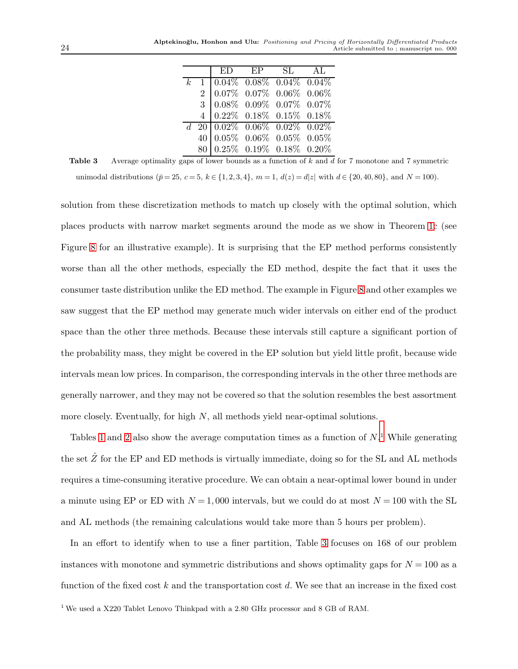|             |                                                                                                                                                                                                        | ED EP SL AL |  |
|-------------|--------------------------------------------------------------------------------------------------------------------------------------------------------------------------------------------------------|-------------|--|
| $k_{\cdot}$ |                                                                                                                                                                                                        |             |  |
|             |                                                                                                                                                                                                        |             |  |
|             |                                                                                                                                                                                                        |             |  |
|             | $\begin{array}{c cccccc} 1 & 0.04\% & 0.08\% & 0.04\% & 0.04\% \\ 2 & 0.07\% & 0.07\% & 0.06\% & 0.06\% \\ 3 & 0.08\% & 0.09\% & 0.07\% & 0.07\% \\ 4 & 0.22\% & 0.18\% & 0.15\% & 0.18\% \end{array}$ |             |  |
|             |                                                                                                                                                                                                        |             |  |
|             |                                                                                                                                                                                                        |             |  |
|             | $\begin{array}{c cccc} d&20&0.02\%&0.06\%&0.02\%&0.02\%\\ 40&0.05\%&0.06\%&0.05\%&0.05\%\\ 80&0.25\%&0.19\%&0.18\%&0.20\% \end{array}$                                                                 |             |  |

<span id="page-23-1"></span>**Table 3** Average optimality gaps of lower bounds as a function of  $k$  and  $d$  for 7 monotone and 7 symmetric unimodal distributions ( $\bar{p} = 25$ ,  $c = 5$ ,  $k \in \{1, 2, 3, 4\}$ ,  $m = 1$ ,  $d(z) = d|z|$  with  $d \in \{20, 40, 80\}$ , and  $N = 100$ ).

solution from these discretization methods to match up closely with the optimal solution, which places products with narrow market segments around the mode as we show in Theorem [1c](#page-9-0) (see Figure [8](#page-24-0) for an illustrative example). It is surprising that the EP method performs consistently worse than all the other methods, especially the ED method, despite the fact that it uses the consumer taste distribution unlike the ED method. The example in Figure [8](#page-24-0) and other examples we saw suggest that the EP method may generate much wider intervals on either end of the product space than the other three methods. Because these intervals still capture a significant portion of the probability mass, they might be covered in the EP solution but yield little profit, because wide intervals mean low prices. In comparison, the corresponding intervals in the other three methods are generally narrower, and they may not be covered so that the solution resembles the best assortment more closely. Eventually, for high  $N$ , all methods yield near-optimal solutions.

Tables [1](#page-23-0) and [2](#page-22-1) also show the average computation times as a function of  $N$ <sup>1</sup>. While generating the set  $\hat{Z}$  for the EP and ED methods is virtually immediate, doing so for the SL and AL methods requires a time-consuming iterative procedure. We can obtain a near-optimal lower bound in under a minute using EP or ED with  $N = 1,000$  intervals, but we could do at most  $N = 100$  with the SL and AL methods (the remaining calculations would take more than 5 hours per problem).

<span id="page-23-0"></span>In an effort to identify when to use a finer partition, Table [3](#page-23-1) focuses on 168 of our problem instances with monotone and symmetric distributions and shows optimality gaps for  $N = 100$  as a function of the fixed cost k and the transportation cost d. We see that an increase in the fixed cost  $1$  We used a X220 Tablet Lenovo Thinkpad with a 2.80 GHz processor and 8 GB of RAM.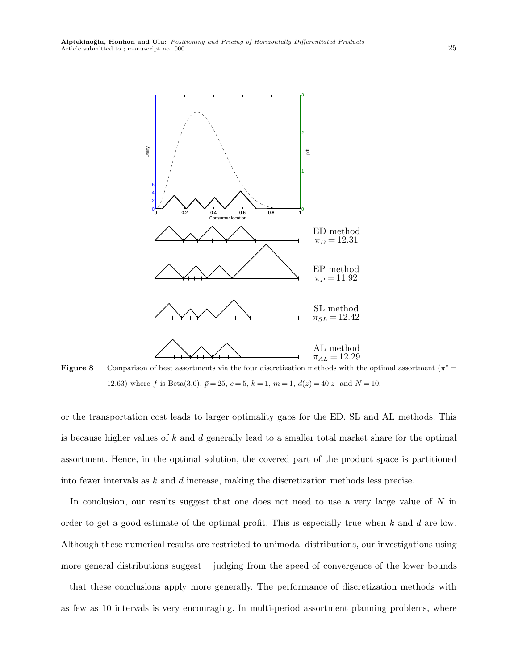<span id="page-24-0"></span>

Figure 8 Comparison of best assortments via the four discretization methods with the optimal assortment  $(\pi^* =$ 12.63) where f is Beta(3,6),  $\bar{p} = 25$ ,  $c = 5$ ,  $k = 1$ ,  $m = 1$ ,  $d(z) = 40|z|$  and  $N = 10$ .

or the transportation cost leads to larger optimality gaps for the ED, SL and AL methods. This is because higher values of  $k$  and  $d$  generally lead to a smaller total market share for the optimal assortment. Hence, in the optimal solution, the covered part of the product space is partitioned into fewer intervals as k and d increase, making the discretization methods less precise.

In conclusion, our results suggest that one does not need to use a very large value of  $N$  in order to get a good estimate of the optimal profit. This is especially true when  $k$  and  $d$  are low. Although these numerical results are restricted to unimodal distributions, our investigations using more general distributions suggest – judging from the speed of convergence of the lower bounds – that these conclusions apply more generally. The performance of discretization methods with as few as 10 intervals is very encouraging. In multi-period assortment planning problems, where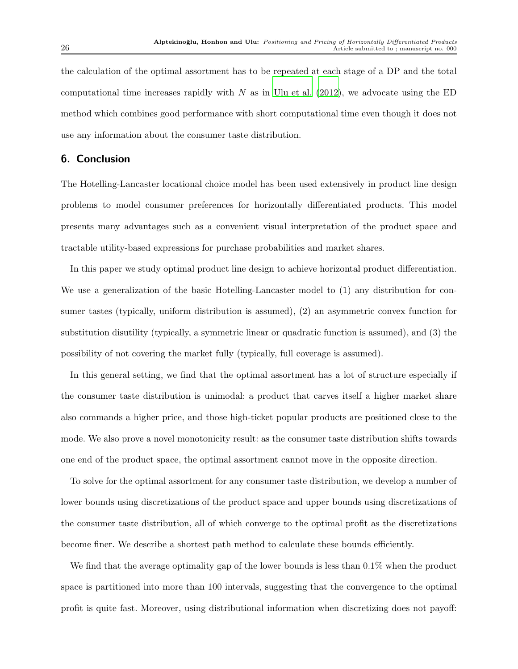the calculation of the optimal assortment has to be repeated at each stage of a DP and the total computational time increases rapidly with  $N$  as in [Ulu et al. \(2012\)](#page-27-9), we advocate using the ED method which combines good performance with short computational time even though it does not use any information about the consumer taste distribution.

## 6. Conclusion

The Hotelling-Lancaster locational choice model has been used extensively in product line design problems to model consumer preferences for horizontally differentiated products. This model presents many advantages such as a convenient visual interpretation of the product space and tractable utility-based expressions for purchase probabilities and market shares.

In this paper we study optimal product line design to achieve horizontal product differentiation. We use a generalization of the basic Hotelling-Lancaster model to (1) any distribution for consumer tastes (typically, uniform distribution is assumed), (2) an asymmetric convex function for substitution disutility (typically, a symmetric linear or quadratic function is assumed), and (3) the possibility of not covering the market fully (typically, full coverage is assumed).

In this general setting, we find that the optimal assortment has a lot of structure especially if the consumer taste distribution is unimodal: a product that carves itself a higher market share also commands a higher price, and those high-ticket popular products are positioned close to the mode. We also prove a novel monotonicity result: as the consumer taste distribution shifts towards one end of the product space, the optimal assortment cannot move in the opposite direction.

To solve for the optimal assortment for any consumer taste distribution, we develop a number of lower bounds using discretizations of the product space and upper bounds using discretizations of the consumer taste distribution, all of which converge to the optimal profit as the discretizations become finer. We describe a shortest path method to calculate these bounds efficiently.

We find that the average optimality gap of the lower bounds is less than  $0.1\%$  when the product space is partitioned into more than 100 intervals, suggesting that the convergence to the optimal profit is quite fast. Moreover, using distributional information when discretizing does not payoff: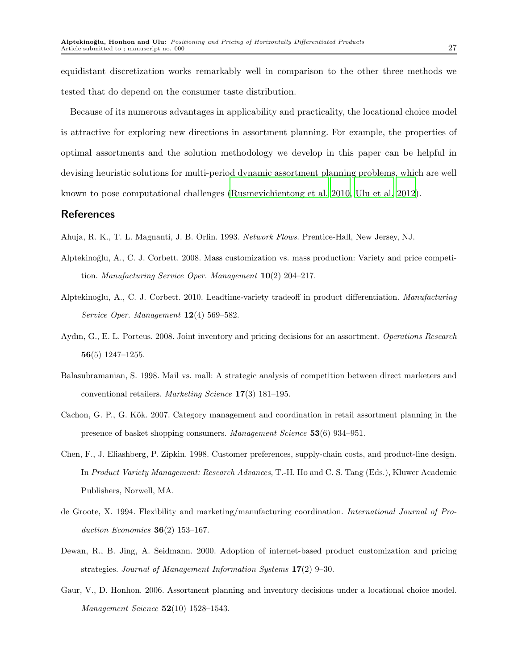equidistant discretization works remarkably well in comparison to the other three methods we tested that do depend on the consumer taste distribution.

Because of its numerous advantages in applicability and practicality, the locational choice model is attractive for exploring new directions in assortment planning. For example, the properties of optimal assortments and the solution methodology we develop in this paper can be helpful in devising heuristic solutions for multi-period dynamic assortment planning problems, which are well known to pose computational challenges [\(Rusmevichientong](#page-27-2) et al. [2010,](#page-27-2) [Ulu et al. 2012](#page-27-9)).

## References

- <span id="page-26-8"></span>Ahuja, R. K., T. L. Magnanti, J. B. Orlin. 1993. Network Flows. Prentice-Hall, New Jersey, NJ.
- Alptekino˘glu, A., C. J. Corbett. 2008. Mass customization vs. mass production: Variety and price competition. Manufacturing Service Oper. Management  $10(2)$  204–217.
- <span id="page-26-5"></span>Alptekinoğlu, A., C. J. Corbett. 2010. Leadtime-variety tradeoff in product differentiation. Manufacturing Service Oper. Management 12(4) 569–582.
- <span id="page-26-7"></span>Aydın, G., E. L. Porteus. 2008. Joint inventory and pricing decisions for an assortment. Operations Research 56(5) 1247–1255.
- <span id="page-26-1"></span>Balasubramanian, S. 1998. Mail vs. mall: A strategic analysis of competition between direct marketers and conventional retailers. Marketing Science 17(3) 181–195.
- <span id="page-26-6"></span>Cachon, G. P., G. Kök. 2007. Category management and coordination in retail assortment planning in the presence of basket shopping consumers. Management Science 53(6) 934–951.
- <span id="page-26-3"></span>Chen, F., J. Eliashberg, P. Zipkin. 1998. Customer preferences, supply-chain costs, and product-line design. In Product Variety Management: Research Advances, T.-H. Ho and C. S. Tang (Eds.), Kluwer Academic Publishers, Norwell, MA.
- <span id="page-26-0"></span>de Groote, X. 1994. Flexibility and marketing/manufacturing coordination. International Journal of Production Economics  $36(2)$  153-167.
- <span id="page-26-2"></span>Dewan, R., B. Jing, A. Seidmann. 2000. Adoption of internet-based product customization and pricing strategies. Journal of Management Information Systems 17(2) 9–30.
- <span id="page-26-4"></span>Gaur, V., D. Honhon. 2006. Assortment planning and inventory decisions under a locational choice model. *Management Science*  $52(10)$  1528-1543.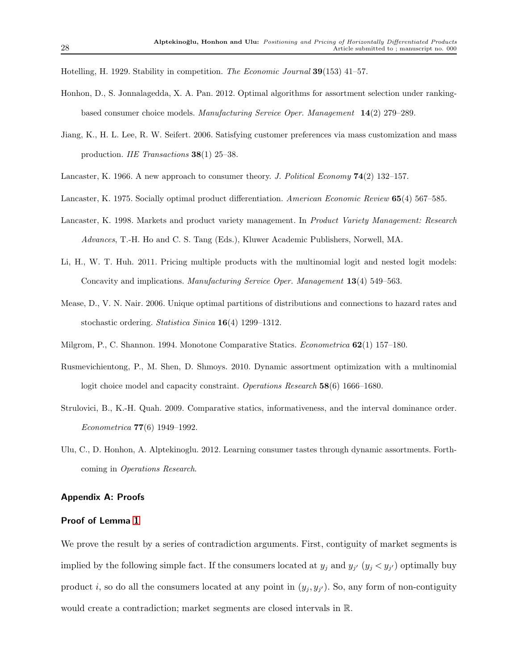<span id="page-27-7"></span>Hotelling, H. 1929. Stability in competition. The Economic Journal 39(153) 41–57.

- <span id="page-27-1"></span>Honhon, D., S. Jonnalagedda, X. A. Pan. 2012. Optimal algorithms for assortment selection under rankingbased consumer choice models. Manufacturing Service Oper. Management 14(2) 279–289.
- <span id="page-27-0"></span>Jiang, K., H. L. Lee, R. W. Seifert. 2006. Satisfying customer preferences via mass customization and mass production. IIE Transactions 38(1) 25–38.
- <span id="page-27-6"></span><span id="page-27-5"></span>Lancaster, K. 1966. A new approach to consumer theory. J. Political Economy  $74(2)$  132–157.
- Lancaster, K. 1975. Socially optimal product differentiation. American Economic Review 65(4) 567–585.
- <span id="page-27-4"></span>Lancaster, K. 1998. Markets and product variety management. In Product Variety Management: Research Advances, T.-H. Ho and C. S. Tang (Eds.), Kluwer Academic Publishers, Norwell, MA.
- <span id="page-27-3"></span>Li, H., W. T. Huh. 2011. Pricing multiple products with the multinomial logit and nested logit models: Concavity and implications. Manufacturing Service Oper. Management 13(4) 549–563.
- <span id="page-27-8"></span>Mease, D., V. N. Nair. 2006. Unique optimal partitions of distributions and connections to hazard rates and stochastic ordering. Statistica Sinica 16(4) 1299–1312.
- <span id="page-27-10"></span>Milgrom, P., C. Shannon. 1994. Monotone Comparative Statics. Econometrica 62(1) 157–180.
- <span id="page-27-2"></span>Rusmevichientong, P., M. Shen, D. Shmoys. 2010. Dynamic assortment optimization with a multinomial logit choice model and capacity constraint. Operations Research 58(6) 1666–1680.
- <span id="page-27-11"></span>Strulovici, B., K.-H. Quah. 2009. Comparative statics, informativeness, and the interval dominance order. Econometrica 77(6) 1949–1992.
- <span id="page-27-9"></span>Ulu, C., D. Honhon, A. Alptekinoglu. 2012. Learning consumer tastes through dynamic assortments. Forthcoming in Operations Research.

## Appendix A: Proofs

## Proof of Lemma [1](#page-6-0)

We prove the result by a series of contradiction arguments. First, contiguity of market segments is implied by the following simple fact. If the consumers located at  $y_j$  and  $y_{j'}$   $(y_j < y_{j'})$  optimally buy product *i*, so do all the consumers located at any point in  $(y_j, y_{j'})$ . So, any form of non-contiguity would create a contradiction; market segments are closed intervals in R.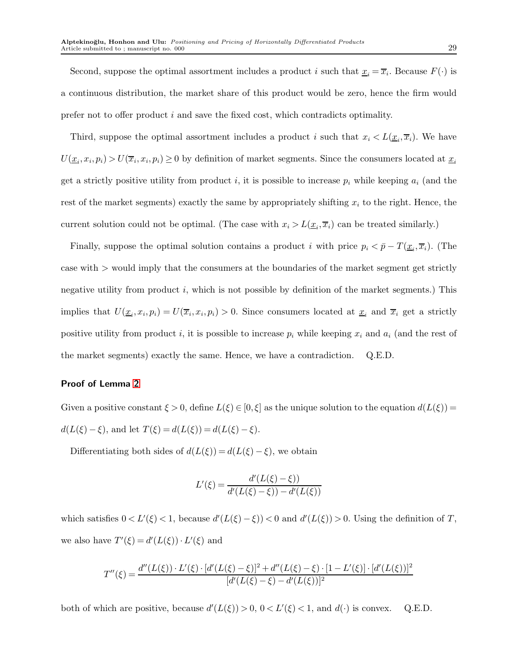Second, suppose the optimal assortment includes a product i such that  $\underline{x}_i = \overline{x}_i$ . Because  $F(\cdot)$  is a continuous distribution, the market share of this product would be zero, hence the firm would prefer not to offer product  $i$  and save the fixed cost, which contradicts optimality.

Third, suppose the optimal assortment includes a product i such that  $x_i \langle L(\underline{x}_i, \overline{x}_i)$ . We have  $U(\underline{x}_i, x_i, p_i) > U(\overline{x}_i, x_i, p_i) \ge 0$  by definition of market segments. Since the consumers located at  $\underline{x}_i$ get a strictly positive utility from product i, it is possible to increase  $p_i$  while keeping  $a_i$  (and the rest of the market segments) exactly the same by appropriately shifting  $x_i$  to the right. Hence, the current solution could not be optimal. (The case with  $x_i > L(\underline{x}_i, \overline{x}_i)$  can be treated similarly.)

Finally, suppose the optimal solution contains a product i with price  $p_i < \bar{p} - T(\underline{x}_i, \overline{x}_i)$ . (The case with > would imply that the consumers at the boundaries of the market segment get strictly negative utility from product  $i$ , which is not possible by definition of the market segments.) This implies that  $U(\underline{x}_i, x_i, p_i) = U(\overline{x}_i, x_i, p_i) > 0$ . Since consumers located at  $\underline{x}_i$  and  $\overline{x}_i$  get a strictly positive utility from product i, it is possible to increase  $p_i$  while keeping  $x_i$  and  $a_i$  (and the rest of the market segments) exactly the same. Hence, we have a contradiction. Q.E.D.

## Proof of Lemma [2](#page-8-0)

Given a positive constant  $\xi > 0$ , define  $L(\xi) \in [0, \xi]$  as the unique solution to the equation  $d(L(\xi)) =$  $d(L(\xi) - \xi)$ , and let  $T(\xi) = d(L(\xi)) = d(L(\xi) - \xi)$ .

Differentiating both sides of  $d(L(\xi)) = d(L(\xi) - \xi)$ , we obtain

$$
L'(\xi) = \frac{d'(L(\xi) - \xi))}{d'(L(\xi) - \xi)) - d'(L(\xi))}
$$

which satisfies  $0 < L'(\xi) < 1$ , because  $d'(L(\xi) - \xi) < 0$  and  $d'(L(\xi)) > 0$ . Using the definition of T, we also have  $T'(\xi) = d'(L(\xi)) \cdot L'(\xi)$  and

$$
T''(\xi) = \frac{d''(L(\xi)) \cdot L'(\xi) \cdot [d'(L(\xi) - \xi)]^2 + d''(L(\xi) - \xi) \cdot [1 - L'(\xi)] \cdot [d'(L(\xi))]^2}{[d'(L(\xi) - \xi) - d'(L(\xi))]^2}
$$

both of which are positive, because  $d'(L(\xi)) > 0$ ,  $0 < L'(\xi) < 1$ , and  $d(\cdot)$  is convex. Q.E.D.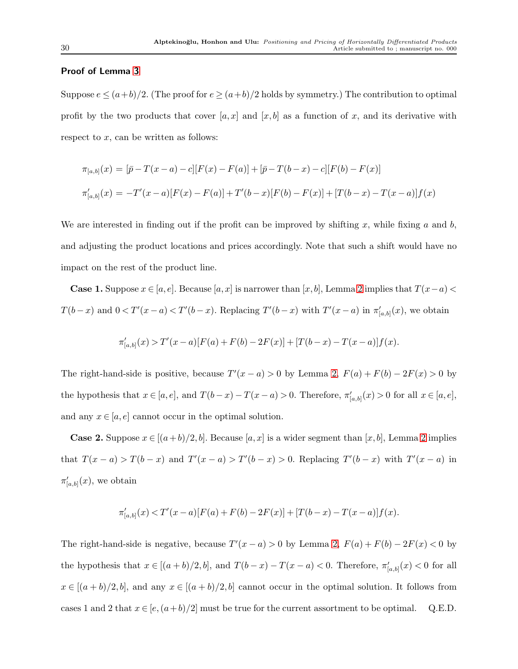## Proof of Lemma [3](#page-8-1)

Suppose  $e \leq (a+b)/2$ . (The proof for  $e \geq (a+b)/2$  holds by symmetry.) The contribution to optimal profit by the two products that cover  $[a, x]$  and  $[x, b]$  as a function of x, and its derivative with respect to  $x$ , can be written as follows:

$$
\pi_{[a,b]}(x) = [\bar{p} - T(x-a) - c][F(x) - F(a)] + [\bar{p} - T(b-x) - c][F(b) - F(x)]
$$
  

$$
\pi'_{[a,b]}(x) = -T'(x-a)[F(x) - F(a)] + T'(b-x)[F(b) - F(x)] + [T(b-x) - T(x-a)]f(x)
$$

We are interested in finding out if the profit can be improved by shifting x, while fixing a and b, and adjusting the product locations and prices accordingly. Note that such a shift would have no impact on the rest of the product line.

**Case 1.** Suppose  $x \in [a, e]$ . Because [a, x] is narrower than [x, b], Lemma [2](#page-8-0) implies that  $T(x-a)$  <  $T(b-x)$  and  $0 < T'(x-a) < T'(b-x)$ . Replacing  $T'(b-x)$  with  $T'(x-a)$  in  $\pi'_{[a,b]}(x)$ , we obtain

$$
\pi'_{[a,b]}(x) > T'(x-a)[F(a) + F(b) - 2F(x)] + [T(b-x) - T(x-a)]f(x).
$$

The right-hand-side is positive, because  $T'(x-a) > 0$  by Lemma [2,](#page-8-0)  $F(a) + F(b) - 2F(x) > 0$  by the hypothesis that  $x \in [a, e]$ , and  $T(b-x) - T(x-a) > 0$ . Therefore,  $\pi'_{[a, b]}(x) > 0$  for all  $x \in [a, e]$ , and any  $x \in [a, e]$  cannot occur in the optimal solution.

**Case [2](#page-8-0).** Suppose  $x \in [(a+b)/2, b]$ . Because  $[a, x]$  is a wider segment than  $[x, b]$ , Lemma 2 implies that  $T(x-a) > T(b-x)$  and  $T'(x-a) > T'(b-x) > 0$ . Replacing  $T'(b-x)$  with  $T'(x-a)$  in  $\pi'_{[a,b]}(x)$ , we obtain

$$
\pi'_{[a,b]}(x) < T'(x-a)[F(a) + F(b) - 2F(x)] + [T(b-x) - T(x-a)]f(x).
$$

The right-hand-side is negative, because  $T'(x-a) > 0$  by Lemma [2,](#page-8-0)  $F(a) + F(b) - 2F(x) < 0$  by the hypothesis that  $x \in [(a+b)/2, b]$ , and  $T(b-x) - T(x-a) < 0$ . Therefore,  $\pi'_{[a,b]}(x) < 0$  for all  $x \in [(a+b)/2, b]$ , and any  $x \in [(a+b)/2, b]$  cannot occur in the optimal solution. It follows from cases 1 and 2 that  $x \in [e,(a+b)/2]$  must be true for the current assortment to be optimal. Q.E.D.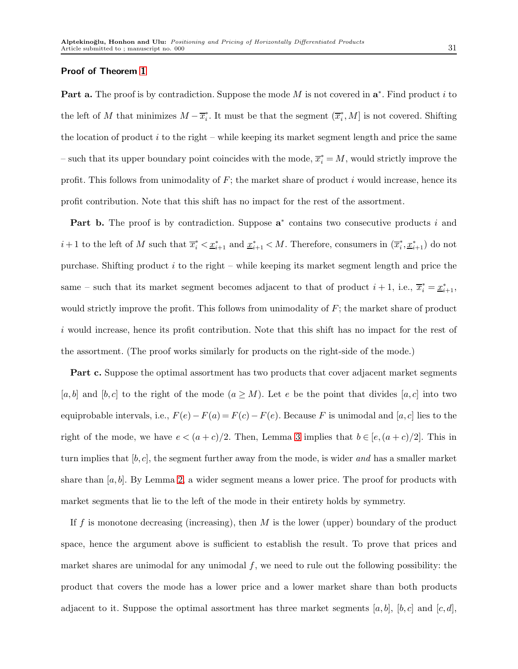#### Proof of Theorem [1](#page-9-0)

Part a. The proof is by contradiction. Suppose the mode  $M$  is not covered in  $a^*$ . Find product i to the left of M that minimizes  $M - \overline{x}_i^*$ . It must be that the segment  $(\overline{x}_i^*, M]$  is not covered. Shifting the location of product i to the right – while keeping its market segment length and price the same  $-$  such that its upper boundary point coincides with the mode,  $\overline{x}_i^* = M$ , would strictly improve the profit. This follows from unimodality of  $F$ ; the market share of product i would increase, hence its profit contribution. Note that this shift has no impact for the rest of the assortment.

Part b. The proof is by contradiction. Suppose  $a^*$  contains two consecutive products i and  $i+1$  to the left of M such that  $\overline{x}_i^* < \underline{x}_{i+1}^*$  and  $\underline{x}_{i+1}^* < M$ . Therefore, consumers in  $(\overline{x}_i^*, \underline{x}_{i+1}^*)$  do not purchase. Shifting product  $i$  to the right – while keeping its market segment length and price the same – such that its market segment becomes adjacent to that of product  $i+1$ , i.e.,  $\overline{x}_i^* = \underline{x}_{i+1}^*$ , would strictly improve the profit. This follows from unimodality of  $F$ ; the market share of product i would increase, hence its profit contribution. Note that this shift has no impact for the rest of the assortment. (The proof works similarly for products on the right-side of the mode.)

Part c. Suppose the optimal assortment has two products that cover adjacent market segments  $[a, b]$  and  $[b, c]$  to the right of the mode  $(a \geq M)$ . Let e be the point that divides  $[a, c]$  into two equiprobable intervals, i.e.,  $F(e) - F(a) = F(c) - F(e)$ . Because F is unimodal and [a, c] lies to the right of the mode, we have  $e < (a + c)/2$ . Then, Lemma [3](#page-8-1) implies that  $b \in [e, (a + c)/2]$ . This in turn implies that  $[b, c]$ , the segment further away from the mode, is wider and has a smaller market share than  $[a, b]$ . By Lemma [2,](#page-8-0) a wider segment means a lower price. The proof for products with market segments that lie to the left of the mode in their entirety holds by symmetry.

If f is monotone decreasing (increasing), then  $M$  is the lower (upper) boundary of the product space, hence the argument above is sufficient to establish the result. To prove that prices and market shares are unimodal for any unimodal  $f$ , we need to rule out the following possibility: the product that covers the mode has a lower price and a lower market share than both products adjacent to it. Suppose the optimal assortment has three market segments [a, b], [b, c] and [c, d],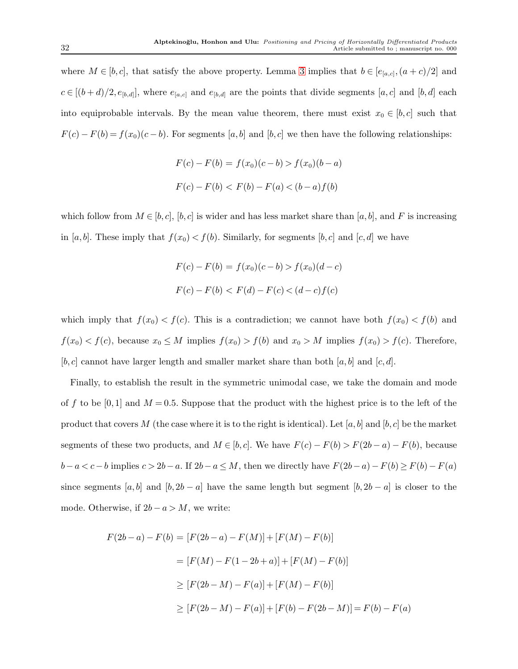where  $M \in [b, c]$ , that satisfy the above property. Lemma [3](#page-8-1) implies that  $b \in [e_{[a,c]}, (a+c)/2]$  and  $c \in [(b+d)/2, e_{[b,d]}],$  where  $e_{[a,c]}$  and  $e_{[b,d]}$  are the points that divide segments  $[a, c]$  and  $[b, d]$  each into equiprobable intervals. By the mean value theorem, there must exist  $x_0 \in [b, c]$  such that  $F(c) - F(b) = f(x_0)(c - b)$ . For segments [a, b] and [b, c] we then have the following relationships:

$$
F(c) - F(b) = f(x_0)(c - b) > f(x_0)(b - a)
$$
  

$$
F(c) - F(b) < F(b) - F(a) < (b - a)f(b)
$$

which follow from  $M \in [b, c]$ ,  $[b, c]$  is wider and has less market share than  $[a, b]$ , and F is increasing in [a, b]. These imply that  $f(x_0) < f(b)$ . Similarly, for segments [b, c] and [c, d] we have

$$
F(c) - F(b) = f(x_0)(c - b) > f(x_0)(d - c)
$$
  

$$
F(c) - F(b) < F(d) - F(c) < (d - c)f(c)
$$

which imply that  $f(x_0) < f(c)$ . This is a contradiction; we cannot have both  $f(x_0) < f(b)$  and  $f(x_0) < f(c)$ , because  $x_0 \le M$  implies  $f(x_0) > f(b)$  and  $x_0 > M$  implies  $f(x_0) > f(c)$ . Therefore,  $[b, c]$  cannot have larger length and smaller market share than both  $[a, b]$  and  $[c, d]$ .

Finally, to establish the result in the symmetric unimodal case, we take the domain and mode of f to be [0,1] and  $M = 0.5$ . Suppose that the product with the highest price is to the left of the product that covers M (the case where it is to the right is identical). Let [a, b] and [b, c] be the market segments of these two products, and  $M \in [b, c]$ . We have  $F(c) - F(b) > F(2b - a) - F(b)$ , because  $b-a < c-b$  implies  $c > 2b-a$ . If  $2b-a \le M$ , then we directly have  $F(2b-a) - F(b) \ge F(b) - F(a)$ since segments [a, b] and  $[b, 2b - a]$  have the same length but segment  $[b, 2b - a]$  is closer to the mode. Otherwise, if  $2b - a > M$ , we write:

$$
F(2b - a) - F(b) = [F(2b - a) - F(M)] + [F(M) - F(b)]
$$
  

$$
= [F(M) - F(1 - 2b + a)] + [F(M) - F(b)]
$$
  

$$
\geq [F(2b - M) - F(a)] + [F(M) - F(b)]
$$
  

$$
\geq [F(2b - M) - F(a)] + [F(b) - F(2b - M)] = F(b) - F(a)
$$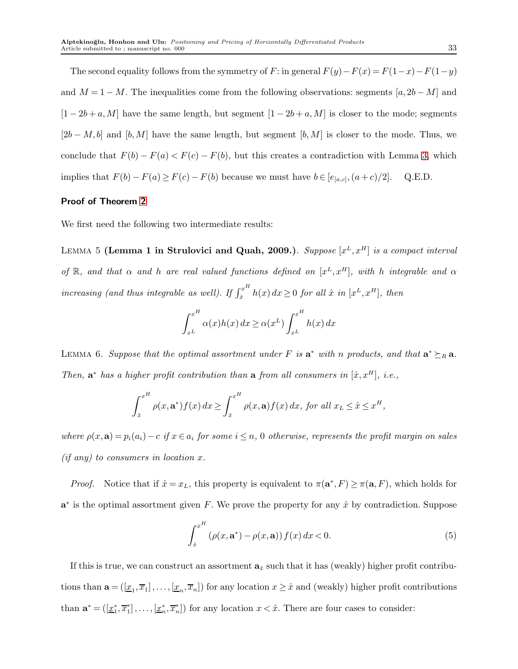The second equality follows from the symmetry of F: in general  $F(y) - F(x) = F(1-x) - F(1-y)$ and  $M = 1 - M$ . The inequalities come from the following observations: segments [a, 2b – M] and  $[1 - 2b + a, M]$  have the same length, but segment  $[1 - 2b + a, M]$  is closer to the mode; segments  $[2b-M, b]$  and  $[b, M]$  have the same length, but segment  $[b, M]$  is closer to the mode. Thus, we conclude that  $F(b) - F(a) < F(c) - F(b)$ , but this creates a contradiction with Lemma [3,](#page-8-1) which implies that  $F(b) - F(a) \ge F(c) - F(b)$  because we must have  $b \in [e_{[a,c]}, (a+c)/2]$ . Q.E.D.

## Proof of Theorem [2](#page-12-2)

<span id="page-32-2"></span>We first need the following two intermediate results:

LEMMA 5 (Lemma 1 in Strulovici and Quah, 2009.). Suppose  $[x^L, x^H]$  is a compact interval of R, and that  $\alpha$  and h are real valued functions defined on  $[x^L, x^H]$ , with h integrable and  $\alpha$ increasing (and thus integrable as well). If  $\int_{\hat{\tau}}^{x^H}$  $x^x$   $h(x) dx \ge 0$  for all  $\hat{x}$  in  $[x^L, x^H]$ , then

$$
\int_{x^L}^{x^H} \alpha(x)h(x) dx \ge \alpha(x^L) \int_{x^L}^{x^H} h(x) dx
$$

<span id="page-32-1"></span>LEMMA 6. Suppose that the optimal assortment under F is  $a^*$  with n products, and that  $a^* \succeq_R a$ . Then,  $\mathbf{a}^*$  has a higher profit contribution than  $\mathbf{a}$  from all consumers in  $[\hat{x}, x^H]$ , i.e.,

$$
\int_{\hat{x}}^{x^H} \rho(x, \mathbf{a}^*) f(x) dx \ge \int_{\hat{x}}^{x^H} \rho(x, \mathbf{a}) f(x) dx, \text{ for all } x_L \le \hat{x} \le x^H,
$$

where  $\rho(x, \mathbf{a}) = p_i(a_i) - c$  if  $x \in a_i$  for some  $i \leq n$ , 0 otherwise, represents the profit margin on sales  $(if any) to consumers in location x.$ 

*Proof.* Notice that if  $\hat{x} = x_L$ , this property is equivalent to  $\pi(\mathbf{a}^*, F) \geq \pi(\mathbf{a}, F)$ , which holds for  $a^*$  is the optimal assortment given F. We prove the property for any  $\hat{x}$  by contradiction. Suppose

<span id="page-32-0"></span>
$$
\int_{\hat{x}}^{x^H} \left(\rho(x, \mathbf{a}^*) - \rho(x, \mathbf{a})\right) f(x) \, dx < 0. \tag{5}
$$

If this is true, we can construct an assortment  $a_{\hat{x}}$  such that it has (weakly) higher profit contributions than  $\mathbf{a} = (\underline{x}_1, \overline{x}_1], \ldots, [\underline{x}_n, \overline{x}_n]$  for any location  $x \geq \hat{x}$  and (weakly) higher profit contributions than  $\mathbf{a}^* = (\underline{x}_1^*, \overline{x}_1^*, \dots, \underline{x}_n^*, \overline{x}_n^*)$  for any location  $x < \hat{x}$ . There are four cases to consider: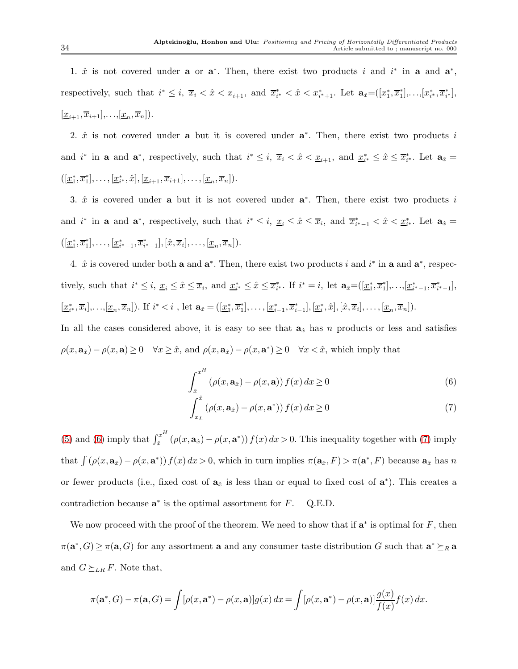1.  $\hat{x}$  is not covered under **a** or  $\mathbf{a}^*$ . Then, there exist two products i and  $i^*$  in **a** and  $\mathbf{a}^*$ , respectively, such that  $i^* \leq i$ ,  $\overline{x}_i < \hat{x} < \underline{x}_{i+1}$ , and  $\overline{x}_{i^*}^* < \hat{x} < \underline{x}_{i^*+1}^*$ . Let  $\mathbf{a}_{\hat{x}} = (\underline{x}_1^*, \overline{x}_1^*], \ldots, [\underline{x}_i^*, \overline{x}_i^*],$  $[\underline{x}_{i+1}, \overline{x}_{i+1}],..., [\underline{x}_n, \overline{x}_n]).$ 

2.  $\hat{x}$  is not covered under **a** but it is covered under  $a^*$ . Then, there exist two products i and  $i^*$  in **a** and  $\mathbf{a}^*$ , respectively, such that  $i^* \leq i$ ,  $\overline{x}_i < \hat{x} < \underline{x}_{i+1}$ , and  $\underline{x}_{i^*}^* \leq \hat{x} \leq \overline{x}_{i^*}^*$ . Let  $\mathbf{a}_{\hat{x}} =$  $([\underline{x}_1^*, \overline{x}_1^*], \ldots, [\underline{x}_{i^*}^*, \hat{x}], [\underline{x}_{i+1}, \overline{x}_{i+1}], \ldots, [\underline{x}_n, \overline{x}_n]).$ 

3.  $\hat{x}$  is covered under **a** but it is not covered under  $\mathbf{a}^*$ . Then, there exist two products i and  $i^*$  in **a** and  $\mathbf{a}^*$ , respectively, such that  $i^* \leq i$ ,  $\underline{x}_i \leq \hat{x} \leq \overline{x}_i$ , and  $\overline{x}_{i^*-1}^* < \hat{x} < \underline{x}_{i^*}^*$ . Let  $\mathbf{a}_{\hat{x}} =$  $([\underline{x}_1^*, \overline{x}_1^*], \ldots, [\underline{x}_{i^*-1}^*, \overline{x}_{i^*-1}^*], [\hat{x}, \overline{x}_i], \ldots, [\underline{x}_n, \overline{x}_n]).$ 

4.  $\hat{x}$  is covered under both **a** and  $\mathbf{a}^*$ . Then, there exist two products i and i<sup>\*</sup> in **a** and  $\mathbf{a}^*$ , respectively, such that  $i^* \leq i$ ,  $\underline{x}_i \leq \hat{x} \leq \overline{x}_i$ , and  $\underline{x}_i^* \leq \hat{x} \leq \overline{x}_i^*$ . If  $i^* = i$ , let  $\mathbf{a}_{\hat{x}} = (\underline{x}_1^*, \overline{x}_1^*], \ldots, [\underline{x}_i^*_{-1}, \overline{x}_i^*_{-1}],$  $[\underline{x}_i^*, \overline{x}_i], \ldots, [\underline{x}_n, \overline{x}_n]$ . If  $i^* < i$ , let  $\mathbf{a}_{\hat{x}} = ([\underline{x}_1^*, \overline{x}_1^*], \ldots, [\underline{x}_{i-1}^*, \overline{x}_{i-1}^*], [\underline{x}_i^*, \hat{x}], [\hat{x}, \overline{x}_i], \ldots, [\underline{x}_n, \overline{x}_n]$ .

In all the cases considered above, it is easy to see that  $a_{\hat{x}}$  has n products or less and satisfies  $\rho(x, \mathbf{a}_{\hat{x}}) - \rho(x, \mathbf{a}) \ge 0 \quad \forall x \ge \hat{x}$ , and  $\rho(x, \mathbf{a}_{\hat{x}}) - \rho(x, \mathbf{a}^*) \ge 0 \quad \forall x < \hat{x}$ , which imply that

<span id="page-33-0"></span>
$$
\int_{\hat{x}}^{x^H} \left( \rho(x, \mathbf{a}_{\hat{x}}) - \rho(x, \mathbf{a}) \right) f(x) dx \ge 0
$$
\n<sup>(6)</sup>

<span id="page-33-1"></span>
$$
\int_{x_L}^{\hat{x}} \left( \rho(x, \mathbf{a}_{\hat{x}}) - \rho(x, \mathbf{a}^*) \right) f(x) dx \ge 0 \tag{7}
$$

[\(5\)](#page-32-0) and [\(6\)](#page-33-0) imply that  $\int_{\hat{x}}^{x^H}$ <sup>x</sup>  $(\rho(x, \mathbf{a}_x) - \rho(x, \mathbf{a}^*)) f(x) dx > 0$ . This inequality together with [\(7\)](#page-33-1) imply that  $\int (\rho(x, \mathbf{a}_x) - \rho(x, \mathbf{a}^*)) f(x) dx > 0$ , which in turn implies  $\pi(\mathbf{a}_x, F) > \pi(\mathbf{a}^*, F)$  because  $\mathbf{a}_x$  has n or fewer products (i.e., fixed cost of  $a_x$  is less than or equal to fixed cost of  $a^*$ ). This creates a contradiction because  $\mathbf{a}^*$  is the optimal assortment for  $F$ . Q.E.D.

We now proceed with the proof of the theorem. We need to show that if  $a^*$  is optimal for  $F$ , then  $\pi(\mathbf{a}^*, G) \geq \pi(\mathbf{a}, G)$  for any assortment **a** and any consumer taste distribution G such that  $\mathbf{a}^* \succeq_R \mathbf{a}$ and  $G \succeq_{LR} F$ . Note that,

$$
\pi(\mathbf{a}^*, G) - \pi(\mathbf{a}, G) = \int [\rho(x, \mathbf{a}^*) - \rho(x, \mathbf{a})] g(x) dx = \int [\rho(x, \mathbf{a}^*) - \rho(x, \mathbf{a})] \frac{g(x)}{f(x)} f(x) dx.
$$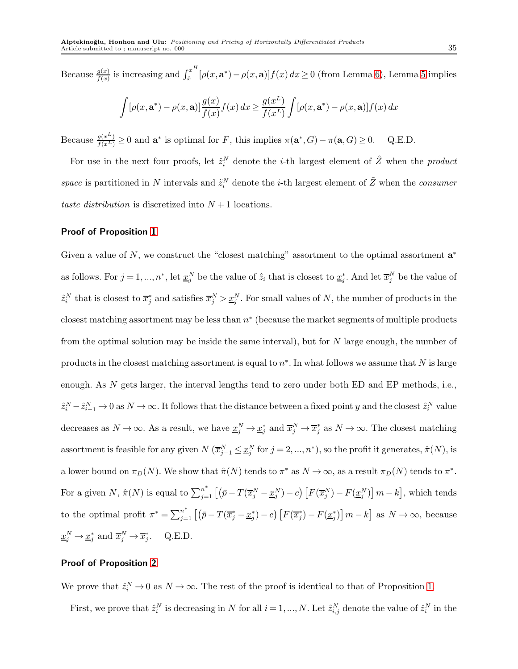Because  $\frac{g(x)}{f(x)}$  is increasing and  $\int_{\hat{x}}^{x^H}$  $\int_{\hat{x}}^{x} [\rho(x, \mathbf{a}^*) - \rho(x, \mathbf{a})] f(x) dx \ge 0$  (from Lemma [6\)](#page-32-1), Lemma [5](#page-32-2) implies  $\int [\rho(x, \mathbf{a}^*) - \rho(x, \mathbf{a})] \frac{g(x)}{f(x)} f(x) dx \ge \frac{g(x^L)}{f(x^L)}$  $f(x^L)$  $\int [\rho(x, \mathbf{a}^*) - \rho(x, \mathbf{a})] f(x) dx$ 

Because  $\frac{g(x^L)}{f(x^L)} \ge 0$  and  $\mathbf{a}^*$  is optimal for F, this implies  $\pi(\mathbf{a}^*, G) - \pi(\mathbf{a}, G) \ge 0$ . Q.E.D.

For use in the next four proofs, let  $\hat{z}_i^N$  denote the *i*-th largest element of  $\hat{Z}$  when the *product* space is partitioned in N intervals and  $\tilde{z}_i^N$  denote the *i*-th largest element of  $\tilde{Z}$  when the *consumer* taste distribution is discretized into  $N+1$  locations.

## Proof of Proposition [1](#page-16-2)

Given a value of  $N$ , we construct the "closest matching" assortment to the optimal assortment  $a^*$ as follows. For  $j = 1, ..., n^*$ , let  $\underline{x}_j^N$  be the value of  $\hat{z}_i$  that is closest to  $\underline{x}_j^*$ . And let  $\overline{x}_j^N$  be the value of  $\hat{z}_i^N$  that is closest to  $\overline{x}_j^*$  and satisfies  $\overline{x}_j^N > \underline{x}_j^N$ . For small values of N, the number of products in the closest matching assortment may be less than  $n^*$  (because the market segments of multiple products from the optimal solution may be inside the same interval), but for N large enough, the number of products in the closest matching assortment is equal to  $n^*$ . In what follows we assume that N is large enough. As N gets larger, the interval lengths tend to zero under both ED and EP methods, i.e.,  $\hat{z}_i^N - \hat{z}_{i-1}^N \to 0$  as  $N \to \infty$ . It follows that the distance between a fixed point y and the closest  $\hat{z}_i^N$  value decreases as  $N \to \infty$ . As a result, we have  $\underline{x}_j^N \to \underline{x}_j^*$  and  $\overline{x}_j^N \to \overline{x}_j^*$  as  $N \to \infty$ . The closest matching assortment is feasible for any given  $N(\overline{x}_{j-1}^N \leq \underline{x}_j^N$  for  $j = 2, ..., n^*$ ), so the profit it generates,  $\hat{\pi}(N)$ , is a lower bound on  $\pi_D(N)$ . We show that  $\hat{\pi}(N)$  tends to  $\pi^*$  as  $N \to \infty$ , as a result  $\pi_D(N)$  tends to  $\pi^*$ . For a given N,  $\hat{\pi}(N)$  is equal to  $\sum_{j=1}^{n^*} \left[ (\bar{p} - T(\overline{x}_j^N - \underline{x}_j^N) - c) \left[ F(\overline{x}_j^N) - F(\underline{x}_j^N) \right] m - k \right]$ , which tends to the optimal profit  $\pi^* = \sum_{j=1}^{n^*} \left[ \left( \bar{p} - T(\overline{x}_j^* - \underline{x}_j^*) - c \right) \left[ F(\overline{x}_j^*) - F(\underline{x}_j^*) \right] m - k \right]$  as  $N \to \infty$ , because  $\underline{x}_j^N \to \underline{x}_j^*$  and  $\overline{x}_j^N \to \overline{x}_j^*$ . Q.E.D.

## Proof of Proposition [2](#page-17-1)

We prove that  $\hat{z}_i^N \to 0$  as  $N \to \infty$ . The rest of the proof is identical to that of Proposition [1.](#page-16-2)

First, we prove that  $\hat{z}_i^N$  is decreasing in N for all  $i=1,...,N$ . Let  $\hat{z}_{i,j}^N$  denote the value of  $\hat{z}_i^N$  in the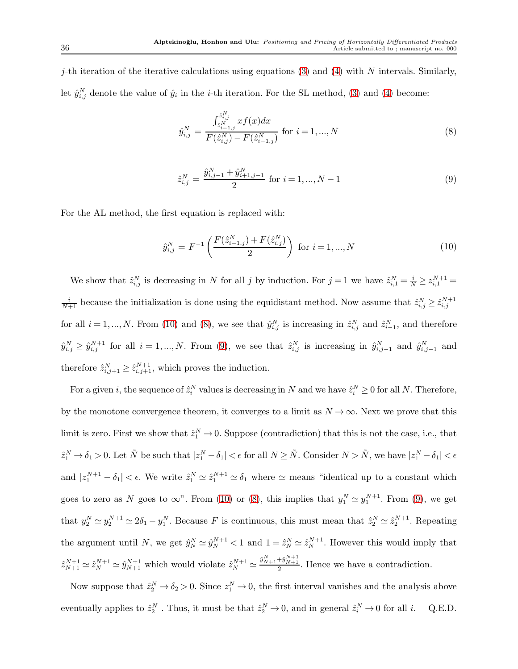j-th iteration of the iterative calculations using equations [\(3\)](#page-16-3) and [\(4\)](#page-16-3) with N intervals. Similarly, let  $\hat{y}_{i,j}^N$  denote the value of  $\hat{y}_i$  in the *i*-th iteration. For the SL method, [\(3\)](#page-16-3) and [\(4\)](#page-16-3) become:

<span id="page-35-1"></span>
$$
\hat{y}_{i,j}^N = \frac{\int_{\hat{z}_{i-1,j}^N}^{\hat{z}_{i,j}^N} x f(x) dx}{F(\hat{z}_{i,j}^N) - F(\hat{z}_{i-1,j}^N)} \text{ for } i = 1, ..., N
$$
\n(8)

<span id="page-35-2"></span>
$$
\hat{z}_{i,j}^N = \frac{\hat{y}_{i,j-1}^N + \hat{y}_{i+1,j-1}^N}{2} \text{ for } i = 1, ..., N-1
$$
\n(9)

For the AL method, the first equation is replaced with:

<span id="page-35-0"></span>
$$
\hat{y}_{i,j}^N = F^{-1}\left(\frac{F(\hat{z}_{i-1,j}^N) + F(\hat{z}_{i,j}^N)}{2}\right) \text{ for } i = 1, ..., N
$$
\n(10)

We show that  $\hat{z}_{i,j}^N$  is decreasing in N for all j by induction. For  $j=1$  we have  $\hat{z}_{i,1}^N = \frac{i}{N} \ge z_{i,1}^{N+1} =$  $\frac{i}{N+1}$  because the initialization is done using the equidistant method. Now assume that  $\hat{z}_{i,j}^N \geq \hat{z}_{i,j}^{N+1}$ for all  $i = 1, ..., N$ . From [\(10\)](#page-35-0) and [\(8\)](#page-35-1), we see that  $\hat{y}_{i,j}^N$  is increasing in  $\hat{z}_{i,j}^N$  and  $\hat{z}_{i-1}^N$ , and therefore  $\hat{y}_{i,j}^N \geq \hat{y}_{i,j}^{N+1}$  for all  $i = 1, ..., N$ . From [\(9\)](#page-35-2), we see that  $\hat{z}_{i,j}^N$  is increasing in  $\hat{y}_{i,j-1}^N$  and  $\hat{y}_{i,j-1}^N$  and therefore  $\hat{z}_{i,j+1}^N \geq \hat{z}_{i,j+1}^{N+1}$ , which proves the induction.

For a given *i*, the sequence of  $\hat{z}_i^N$  values is decreasing in N and we have  $\hat{z}_i^N \ge 0$  for all N. Therefore, by the monotone convergence theorem, it converges to a limit as  $N \to \infty$ . Next we prove that this limit is zero. First we show that  $\hat{z}_1^N \to 0$ . Suppose (contradiction) that this is not the case, i.e., that  $\hat{z}_1^N \to \delta_1 > 0$ . Let  $\tilde{N}$  be such that  $|z_1^N - \delta_1| < \epsilon$  for all  $N \ge \tilde{N}$ . Consider  $N > \tilde{N}$ , we have  $|z_1^N - \delta_1| < \epsilon$ and  $|z_1^{N+1} - \delta_1| < \epsilon$ . We write  $\hat{z}_1^N \simeq \hat{z}_1^{N+1} \simeq \delta_1$  where  $\simeq$  means "identical up to a constant which goes to zero as N goes to  $\infty$ ". From [\(10\)](#page-35-0) or [\(8\)](#page-35-1), this implies that  $y_1^N \simeq y_1^{N+1}$ . From [\(9\)](#page-35-2), we get that  $y_2^N \simeq y_2^{N+1} \simeq 2\delta_1 - y_1^N$ . Because F is continuous, this must mean that  $\hat{z}_2^N \simeq \hat{z}_2^{N+1}$ . Repeating the argument until N, we get  $\hat{y}_N^N \simeq \hat{y}_N^{N+1} < 1$  and  $1 = \hat{z}_N^N \simeq \hat{z}_N^{N+1}$ . However this would imply that  $\hat{z}_{N+1}^{N+1} \simeq \hat{z}_{N+1}^{N+1}$  which would violate  $\hat{z}_{N}^{N+1} \simeq \frac{\hat{y}_{N+1}^{N+1} + \hat{y}_{N+1}^{N+1}}{2}$ . Hence we have a contradiction.

Now suppose that  $\hat{z}_2^N \to \delta_2 > 0$ . Since  $z_1^N \to 0$ , the first interval vanishes and the analysis above eventually applies to  $\hat{z}_2^N$ . Thus, it must be that  $\hat{z}_2^N \to 0$ , and in general  $\hat{z}_i^N \to 0$  for all *i*. Q.E.D.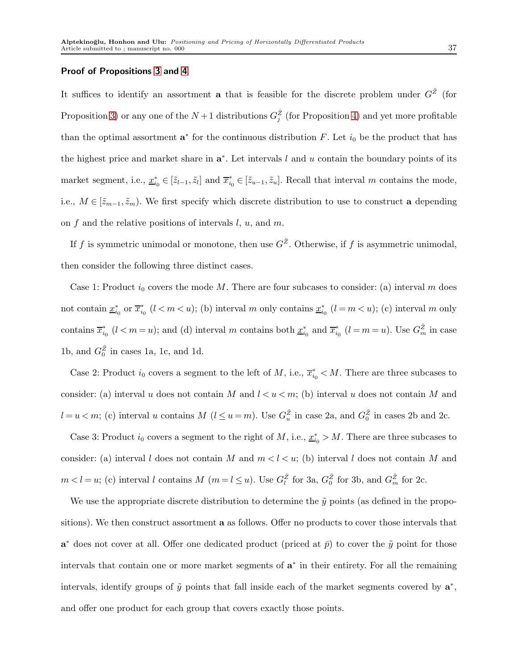## Proof of Propositions [3](#page-18-0) and [4](#page-19-0)

It suffices to identify an assortment **a** that is feasible for the discrete problem under  $G^{\tilde{Z}}$  (for Proposition [3\)](#page-18-0) or any one of the  $N+1$  distributions  $G_j^{\tilde{Z}}$  (for Proposition [4\)](#page-19-0) and yet more profitable than the optimal assortment  $\mathbf{a}^*$  for the continuous distribution F. Let  $i_0$  be the product that has the highest price and market share in  $a^*$ . Let intervals l and u contain the boundary points of its market segment, i.e.,  $\underline{x}_{i_0}^* \in [\tilde{z}_{l-1}, \tilde{z}_l]$  and  $\overline{x}_{i_0}^* \in [\tilde{z}_{u-1}, \tilde{z}_u]$ . Recall that interval m contains the mode, i.e.,  $M \in [\tilde{z}_{m-1}, \tilde{z}_m)$ . We first specify which discrete distribution to use to construct a depending on  $f$  and the relative positions of intervals  $l, u$ , and  $m$ .

If f is symmetric unimodal or monotone, then use  $G^{\tilde{Z}}$ . Otherwise, if f is asymmetric unimodal, then consider the following three distinct cases.

Case 1: Product  $i_0$  covers the mode M. There are four subcases to consider: (a) interval m does not contain  $\underline{x}_{i_0}^*$  or  $\overline{x}_{i_0}^*$   $(l < m < u)$ ; (b) interval m only contains  $\underline{x}_{i_0}^*$   $(l = m < u)$ ; (c) interval m only contains  $\overline{x}_{i_0}^*$  ( $l < m = u$ ); and (d) interval m contains both  $\underline{x}_{i_0}^*$  and  $\overline{x}_{i_0}^*$  ( $l = m = u$ ). Use  $G_m^{\tilde{Z}}$  in case 1b, and  $G_0^{\tilde{Z}}$  in cases 1a, 1c, and 1d.

Case 2: Product  $i_0$  covers a segment to the left of M, i.e.,  $\overline{x}_{i_0}^* < M$ . There are three subcases to consider: (a) interval u does not contain M and  $l < u < m$ ; (b) interval u does not contain M and  $l = u \lt m$ ; (c) interval u contains M  $(l \le u = m)$ . Use  $G_u^{\tilde{Z}}$  in case 2a, and  $G_0^{\tilde{Z}}$  in cases 2b and 2c.

Case 3: Product  $i_0$  covers a segment to the right of M, i.e.,  $\underline{x}_{i_0}^* > M$ . There are three subcases to consider: (a) interval l does not contain M and  $m < l < u$ ; (b) interval l does not contain M and  $m < l = u$ ; (c) interval l contains M  $(m = l \le u)$ . Use  $G_{l}^{\tilde{Z}}$  for 3a,  $G_{0}^{\tilde{Z}}$  for 3b, and  $G_{m}^{\tilde{Z}}$  for 2c.

We use the appropriate discrete distribution to determine the  $\tilde{y}$  points (as defined in the propositions). We then construct assortment a as follows. Offer no products to cover those intervals that  $a^*$  does not cover at all. Offer one dedicated product (priced at  $\bar{p}$ ) to cover the  $\tilde{y}$  point for those intervals that contain one or more market segments of  $a^*$  in their entirety. For all the remaining intervals, identify groups of  $\tilde{y}$  points that fall inside each of the market segments covered by  $\mathbf{a}^*$ , and offer one product for each group that covers exactly those points.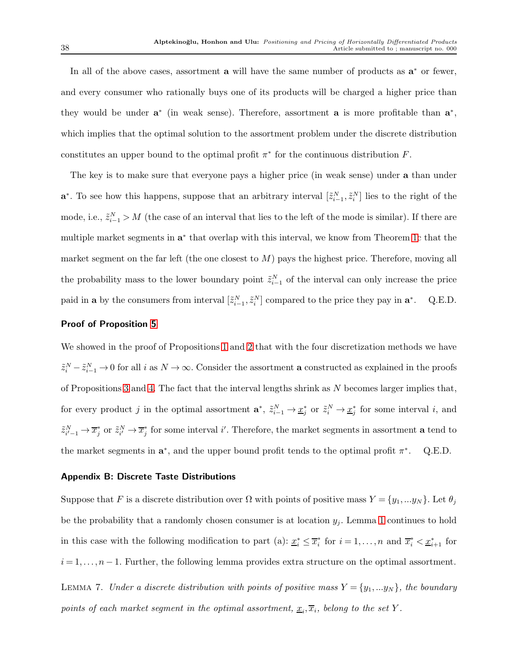In all of the above cases, assortment  $a$  will have the same number of products as  $a^*$  or fewer, and every consumer who rationally buys one of its products will be charged a higher price than they would be under  $a^*$  (in weak sense). Therefore, assortment a is more profitable than  $a^*$ , which implies that the optimal solution to the assortment problem under the discrete distribution constitutes an upper bound to the optimal profit  $\pi^*$  for the continuous distribution F.

The key is to make sure that everyone pays a higher price (in weak sense) under a than under **a**<sup>\*</sup>. To see how this happens, suppose that an arbitrary interval  $[\tilde{z}_{i-1}^N, \tilde{z}_i^N]$  lies to the right of the mode, i.e.,  $\tilde{z}_{i-1}^N > M$  (the case of an interval that lies to the left of the mode is similar). If there are multiple market segments in  $a^*$  that overlap with this interval, we know from Theorem [1c](#page-9-0) that the market segment on the far left (the one closest to  $M$ ) pays the highest price. Therefore, moving all the probability mass to the lower boundary point  $\tilde{z}_{i-1}^N$  of the interval can only increase the price paid in **a** by the consumers from interval  $[\tilde{z}_{i-1}^N, \tilde{z}_i^N]$  compared to the price they pay in  $\mathbf{a}^*$ . Q.E.D.

## Proof of Proposition [5](#page-19-1)

We showed in the proof of Propositions [1](#page-16-2) and [2](#page-17-1) that with the four discretization methods we have  $\tilde{z}_i^N - \tilde{z}_{i-1}^N \to 0$  for all i as  $N \to \infty$ . Consider the assortment **a** constructed as explained in the proofs of Propositions [3](#page-18-0) and [4.](#page-19-0) The fact that the interval lengths shrink as  $N$  becomes larger implies that, for every product j in the optimal assortment  $\mathbf{a}^*, \tilde{z}_{i-1}^N \to \underline{x}_j^*$  or  $\tilde{z}_i^N \to \underline{x}_j^*$  for some interval i, and  $\tilde{z}_{i'-1}^N \to \overline{x}_j^*$  or  $\tilde{z}_{i'}^N \to \overline{x}_j^*$  for some interval i'. Therefore, the market segments in assortment **a** tend to the market segments in  $a^*$ , and the upper bound profit tends to the optimal profit  $\pi^*$ . Q.E.D.

#### Appendix B: Discrete Taste Distributions

<span id="page-37-0"></span>Suppose that F is a discrete distribution over  $\Omega$  with points of positive mass  $Y = \{y_1, ..., y_N\}$ . Let  $\theta_j$ be the probability that a randomly chosen consumer is at location  $y_j$ . Lemma [1](#page-6-0) continues to hold in this case with the following modification to part (a):  $\underline{x}_i^* \leq \overline{x}_i^*$  for  $i = 1, ..., n$  and  $\overline{x}_i^* < \underline{x}_{i+1}^*$  for  $i = 1, \ldots, n-1$ . Further, the following lemma provides extra structure on the optimal assortment. LEMMA 7. Under a discrete distribution with points of positive mass  $Y = \{y_1, \ldots y_N\}$ , the boundary points of each market segment in the optimal assortment,  $\underline{x}_i, \overline{x}_i$ , belong to the set Y.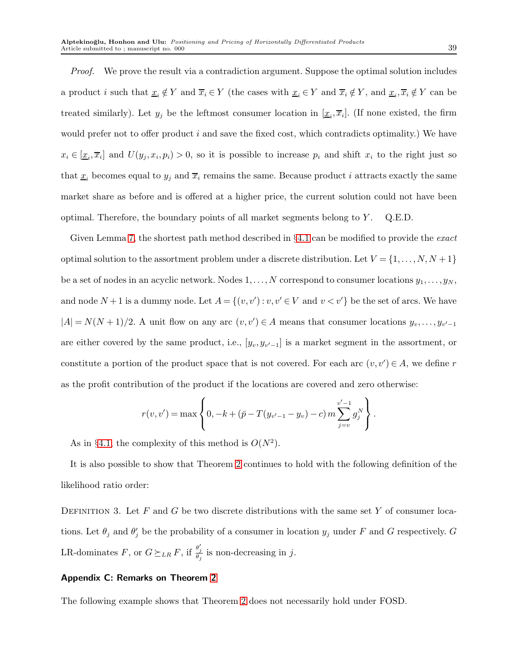Proof. We prove the result via a contradiction argument. Suppose the optimal solution includes a product i such that  $\underline{x}_i \notin Y$  and  $\overline{x}_i \in Y$  (the cases with  $\underline{x}_i \in Y$  and  $\overline{x}_i \notin Y$ , and  $\underline{x}_i, \overline{x}_i \notin Y$  can be treated similarly). Let  $y_j$  be the leftmost consumer location in  $[\underline{x}_i, \overline{x}_i]$ . (If none existed, the firm would prefer not to offer product  $i$  and save the fixed cost, which contradicts optimality.) We have  $x_i \in [\underline{x}_i, \overline{x}_i]$  and  $U(y_j, x_i, p_i) > 0$ , so it is possible to increase  $p_i$  and shift  $x_i$  to the right just so that  $\underline{x}_i$  becomes equal to  $y_j$  and  $\overline{x}_i$  remains the same. Because product i attracts exactly the same market share as before and is offered at a higher price, the current solution could not have been optimal. Therefore, the boundary points of all market segments belong to  $Y$ . Q.E.D.

Given Lemma [7,](#page-37-0) the shortest path method described in  $\S 4.1$  $\S 4.1$  can be modified to provide the *exact* optimal solution to the assortment problem under a discrete distribution. Let  $V = \{1, \ldots, N, N+1\}$ be a set of nodes in an acyclic network. Nodes  $1, \ldots, N$  correspond to consumer locations  $y_1, \ldots, y_N$ , and node  $N+1$  is a dummy node. Let  $A = \{(v, v') : v, v' \in V \text{ and } v < v'\}$  be the set of arcs. We have  $|A| = N(N+1)/2$ . A unit flow on any arc  $(v, v') \in A$  means that consumer locations  $y_v, \ldots, y_{v'-1}$ are either covered by the same product, i.e.,  $[y_v, y_{v'-1}]$  is a market segment in the assortment, or constitute a portion of the product space that is not covered. For each arc  $(v, v') \in A$ , we define r as the profit contribution of the product if the locations are covered and zero otherwise:

$$
r(v, v') = \max \left\{ 0, -k + (\bar{p} - T(y_{v'-1} - y_v) - c) m \sum_{j=v}^{v'-1} g_j^N \right\}.
$$

As in §[4.1,](#page-13-1) the complexity of this method is  $O(N^2)$ .

It is also possible to show that Theorem [2](#page-12-2) continues to hold with the following definition of the likelihood ratio order:

DEFINITION 3. Let  $F$  and  $G$  be two discrete distributions with the same set  $Y$  of consumer locations. Let  $\theta_j$  and  $\theta'_j$  be the probability of a consumer in location  $y_j$  under F and G respectively. G LR-dominates F, or  $G \succeq_{LR} F$ , if  $\frac{\theta'_j}{\theta_j}$  is non-decreasing in j.

## Appendix C: Remarks on Theorem [2](#page-12-2)

The following example shows that Theorem [2](#page-12-2) does not necessarily hold under FOSD.